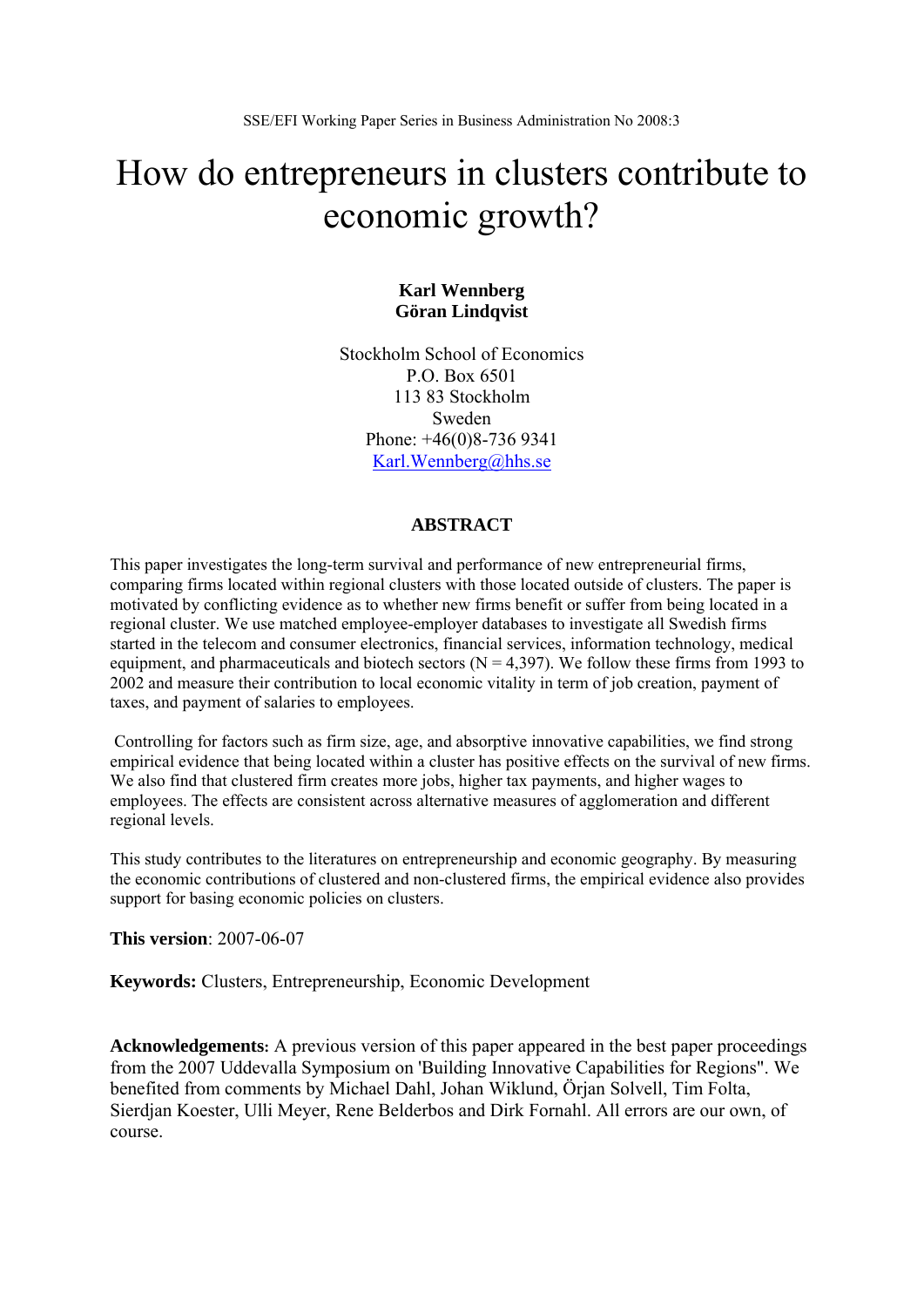# How do entrepreneurs in clusters contribute to economic growth?

# **Karl Wennberg Göran Lindqvist**

Stockholm School of Economics P.O. Box 6501 113 83 Stockholm Sweden Phone: +46(0)8-736 9341 Karl.Wennberg@hhs.se

# **ABSTRACT**

This paper investigates the long-term survival and performance of new entrepreneurial firms, comparing firms located within regional clusters with those located outside of clusters. The paper is motivated by conflicting evidence as to whether new firms benefit or suffer from being located in a regional cluster. We use matched employee-employer databases to investigate all Swedish firms started in the telecom and consumer electronics, financial services, information technology, medical equipment, and pharmaceuticals and biotech sectors ( $N = 4,397$ ). We follow these firms from 1993 to 2002 and measure their contribution to local economic vitality in term of job creation, payment of taxes, and payment of salaries to employees.

 Controlling for factors such as firm size, age, and absorptive innovative capabilities, we find strong empirical evidence that being located within a cluster has positive effects on the survival of new firms. We also find that clustered firm creates more jobs, higher tax payments, and higher wages to employees. The effects are consistent across alternative measures of agglomeration and different regional levels.

This study contributes to the literatures on entrepreneurship and economic geography. By measuring the economic contributions of clustered and non-clustered firms, the empirical evidence also provides support for basing economic policies on clusters.

**This version**: 2007-06-07

**Keywords:** Clusters, Entrepreneurship, Economic Development

**Acknowledgements:** A previous version of this paper appeared in the best paper proceedings from the 2007 Uddevalla Symposium on 'Building Innovative Capabilities for Regions". We benefited from comments by Michael Dahl, Johan Wiklund, Örjan Solvell, Tim Folta, Sierdjan Koester, Ulli Meyer, Rene Belderbos and Dirk Fornahl. All errors are our own, of course.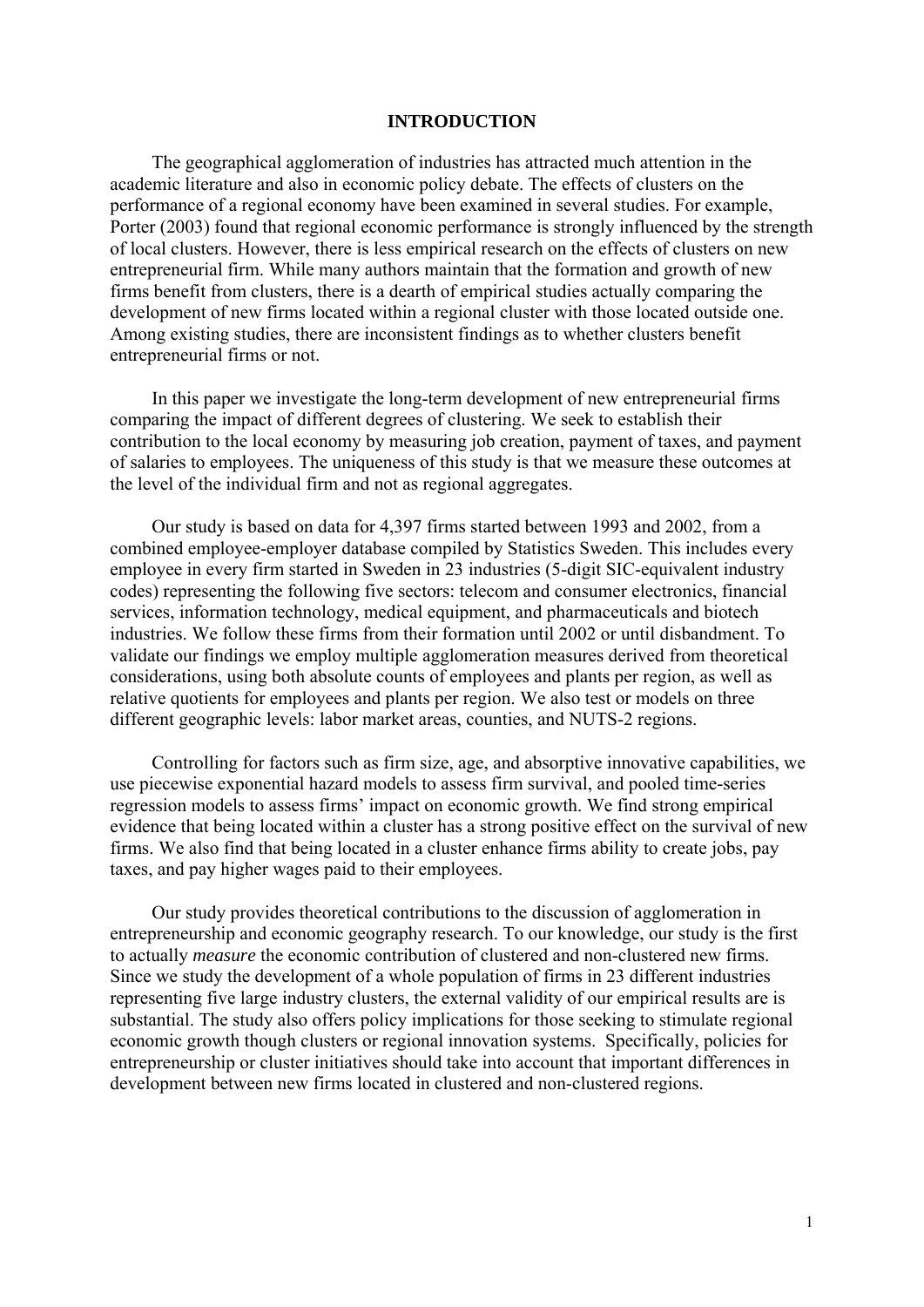# **INTRODUCTION**

The geographical agglomeration of industries has attracted much attention in the academic literature and also in economic policy debate. The effects of clusters on the performance of a regional economy have been examined in several studies. For example, Porter (2003) found that regional economic performance is strongly influenced by the strength of local clusters. However, there is less empirical research on the effects of clusters on new entrepreneurial firm. While many authors maintain that the formation and growth of new firms benefit from clusters, there is a dearth of empirical studies actually comparing the development of new firms located within a regional cluster with those located outside one. Among existing studies, there are inconsistent findings as to whether clusters benefit entrepreneurial firms or not.

In this paper we investigate the long-term development of new entrepreneurial firms comparing the impact of different degrees of clustering. We seek to establish their contribution to the local economy by measuring job creation, payment of taxes, and payment of salaries to employees. The uniqueness of this study is that we measure these outcomes at the level of the individual firm and not as regional aggregates.

Our study is based on data for 4,397 firms started between 1993 and 2002, from a combined employee-employer database compiled by Statistics Sweden. This includes every employee in every firm started in Sweden in 23 industries (5-digit SIC-equivalent industry codes) representing the following five sectors: telecom and consumer electronics, financial services, information technology, medical equipment, and pharmaceuticals and biotech industries. We follow these firms from their formation until 2002 or until disbandment. To validate our findings we employ multiple agglomeration measures derived from theoretical considerations, using both absolute counts of employees and plants per region, as well as relative quotients for employees and plants per region. We also test or models on three different geographic levels: labor market areas, counties, and NUTS-2 regions.

Controlling for factors such as firm size, age, and absorptive innovative capabilities, we use piecewise exponential hazard models to assess firm survival, and pooled time-series regression models to assess firms' impact on economic growth. We find strong empirical evidence that being located within a cluster has a strong positive effect on the survival of new firms. We also find that being located in a cluster enhance firms ability to create jobs, pay taxes, and pay higher wages paid to their employees.

Our study provides theoretical contributions to the discussion of agglomeration in entrepreneurship and economic geography research. To our knowledge, our study is the first to actually *measure* the economic contribution of clustered and non-clustered new firms. Since we study the development of a whole population of firms in 23 different industries representing five large industry clusters, the external validity of our empirical results are is substantial. The study also offers policy implications for those seeking to stimulate regional economic growth though clusters or regional innovation systems. Specifically, policies for entrepreneurship or cluster initiatives should take into account that important differences in development between new firms located in clustered and non-clustered regions.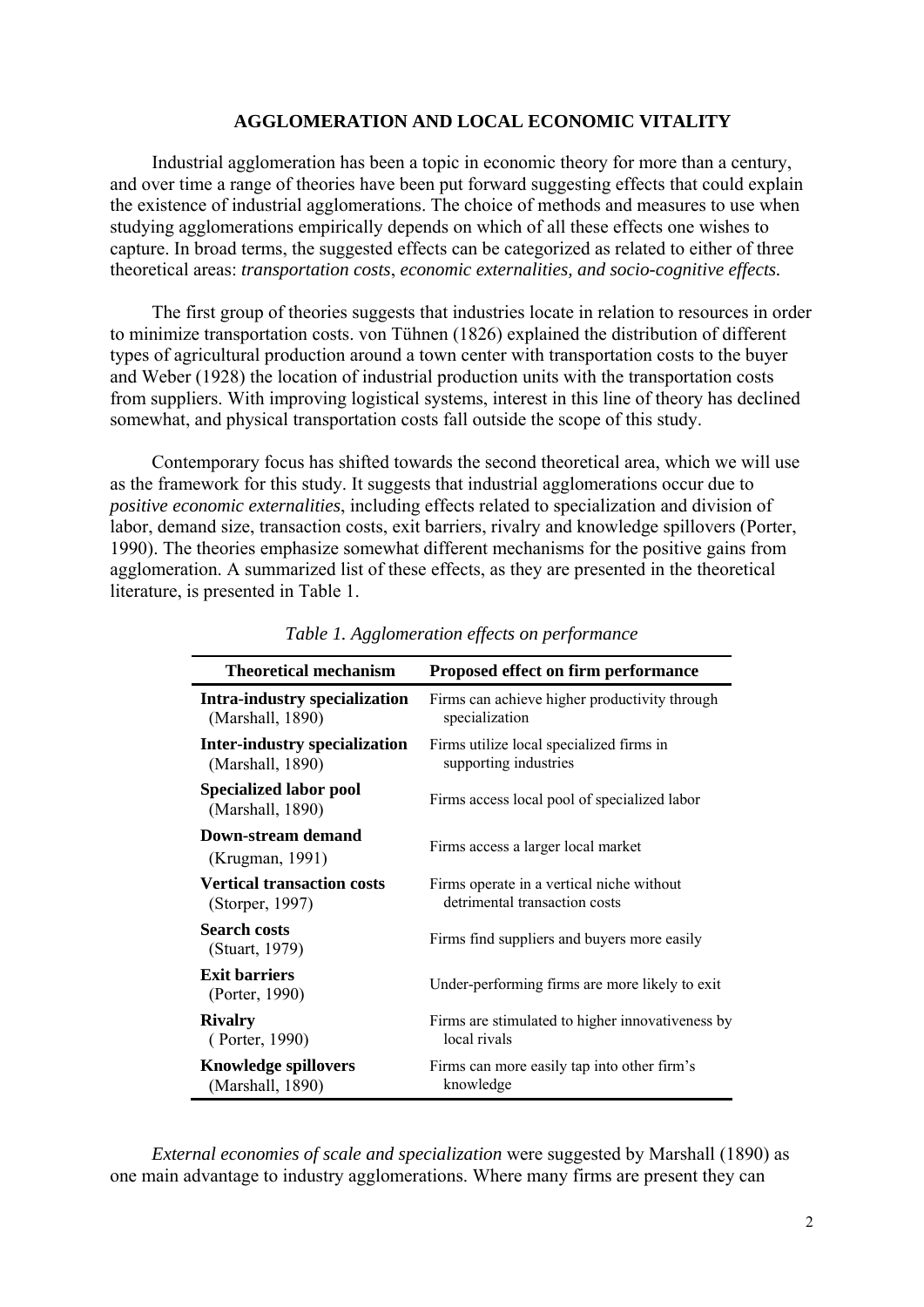# **AGGLOMERATION AND LOCAL ECONOMIC VITALITY**

Industrial agglomeration has been a topic in economic theory for more than a century, and over time a range of theories have been put forward suggesting effects that could explain the existence of industrial agglomerations. The choice of methods and measures to use when studying agglomerations empirically depends on which of all these effects one wishes to capture. In broad terms, the suggested effects can be categorized as related to either of three theoretical areas: *transportation costs*, *economic externalities, and socio-cognitive effects.* 

The first group of theories suggests that industries locate in relation to resources in order to minimize transportation costs. von Tühnen (1826) explained the distribution of different types of agricultural production around a town center with transportation costs to the buyer and Weber (1928) the location of industrial production units with the transportation costs from suppliers. With improving logistical systems, interest in this line of theory has declined somewhat, and physical transportation costs fall outside the scope of this study.

Contemporary focus has shifted towards the second theoretical area, which we will use as the framework for this study. It suggests that industrial agglomerations occur due to *positive economic externalities*, including effects related to specialization and division of labor, demand size, transaction costs, exit barriers, rivalry and knowledge spillovers (Porter, 1990). The theories emphasize somewhat different mechanisms for the positive gains from agglomeration. A summarized list of these effects, as they are presented in the theoretical literature, is presented in Table 1.

| <b>Theoretical mechanism</b>                      | <b>Proposed effect on firm performance</b>       |
|---------------------------------------------------|--------------------------------------------------|
| Intra-industry specialization                     | Firms can achieve higher productivity through    |
| (Marshall, 1890)                                  | specialization                                   |
| Inter-industry specialization                     | Firms utilize local specialized firms in         |
| (Marshall, 1890)                                  | supporting industries                            |
| <b>Specialized labor pool</b><br>(Marshall, 1890) | Firms access local pool of specialized labor     |
| Down-stream demand<br>(Krugman, 1991)             | Firms access a larger local market               |
| <b>Vertical transaction costs</b>                 | Firms operate in a vertical niche without        |
| (Storper, 1997)                                   | detrimental transaction costs                    |
| <b>Search costs</b><br>(Stuart, 1979)             | Firms find suppliers and buyers more easily      |
| <b>Exit barriers</b><br>(Porter, 1990)            | Under-performing firms are more likely to exit   |
| <b>Rivalry</b>                                    | Firms are stimulated to higher innovativeness by |
| (Porter, 1990)                                    | local rivals                                     |
| <b>Knowledge spillovers</b>                       | Firms can more easily tap into other firm's      |
| (Marshall, 1890)                                  | knowledge                                        |

*Table 1. Agglomeration effects on performance* 

*External economies of scale and specialization* were suggested by Marshall (1890) as one main advantage to industry agglomerations. Where many firms are present they can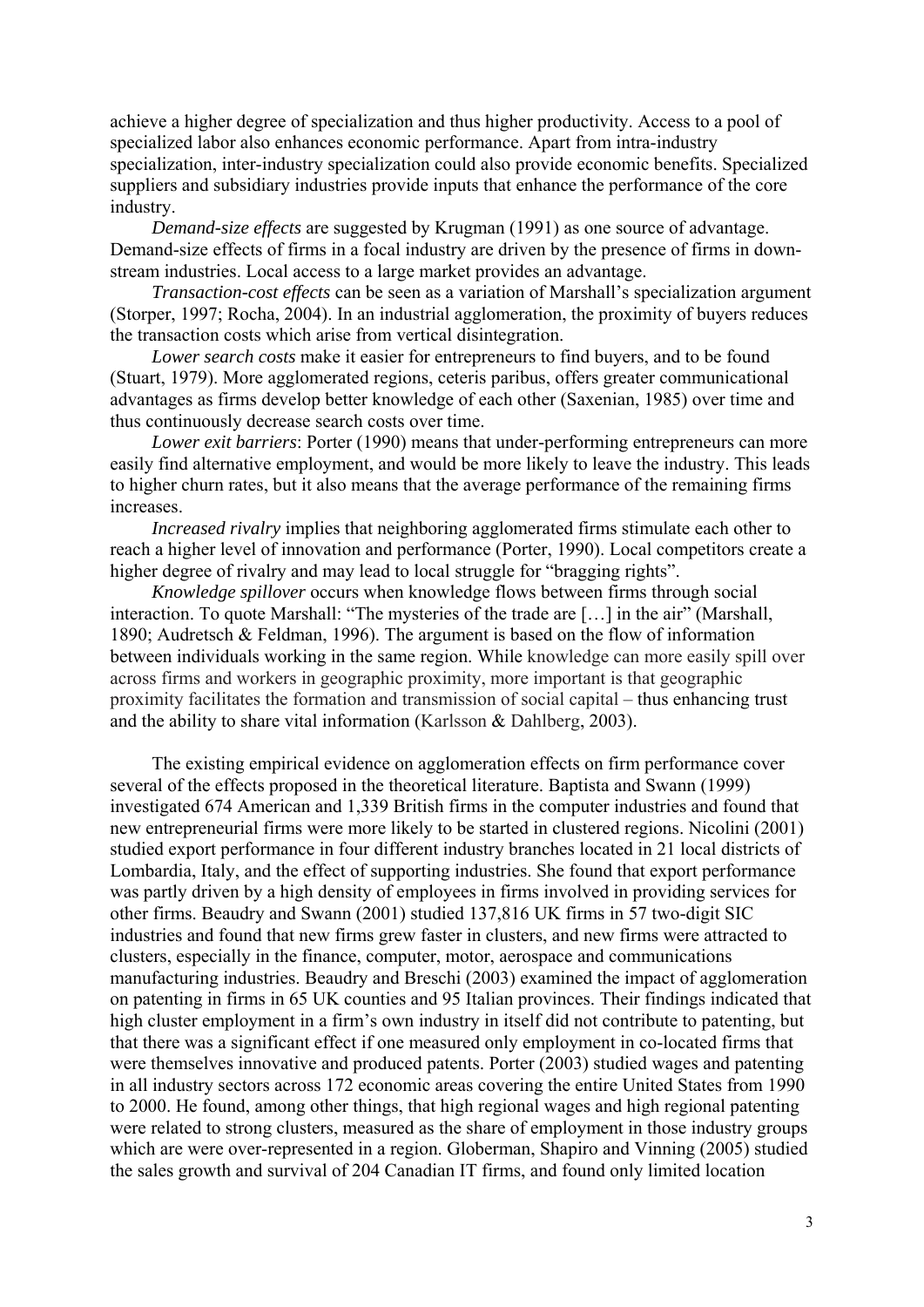achieve a higher degree of specialization and thus higher productivity. Access to a pool of specialized labor also enhances economic performance. Apart from intra-industry specialization, inter-industry specialization could also provide economic benefits. Specialized suppliers and subsidiary industries provide inputs that enhance the performance of the core industry.

*Demand-size effects* are suggested by Krugman (1991) as one source of advantage. Demand-size effects of firms in a focal industry are driven by the presence of firms in downstream industries. Local access to a large market provides an advantage.

*Transaction-cost effects* can be seen as a variation of Marshall's specialization argument (Storper, 1997; Rocha, 2004). In an industrial agglomeration, the proximity of buyers reduces the transaction costs which arise from vertical disintegration.

*Lower search costs* make it easier for entrepreneurs to find buyers, and to be found (Stuart, 1979). More agglomerated regions, ceteris paribus, offers greater communicational advantages as firms develop better knowledge of each other (Saxenian, 1985) over time and thus continuously decrease search costs over time.

*Lower exit barriers*: Porter (1990) means that under-performing entrepreneurs can more easily find alternative employment, and would be more likely to leave the industry. This leads to higher churn rates, but it also means that the average performance of the remaining firms increases.

*Increased rivalry* implies that neighboring agglomerated firms stimulate each other to reach a higher level of innovation and performance (Porter, 1990). Local competitors create a higher degree of rivalry and may lead to local struggle for "bragging rights".

*Knowledge spillover* occurs when knowledge flows between firms through social interaction. To quote Marshall: "The mysteries of the trade are […] in the air" (Marshall, 1890; Audretsch & Feldman, 1996). The argument is based on the flow of information between individuals working in the same region. While knowledge can more easily spill over across firms and workers in geographic proximity, more important is that geographic proximity facilitates the formation and transmission of social capital – thus enhancing trust and the ability to share vital information (Karlsson & Dahlberg, 2003).

The existing empirical evidence on agglomeration effects on firm performance cover several of the effects proposed in the theoretical literature. Baptista and Swann (1999) investigated 674 American and 1,339 British firms in the computer industries and found that new entrepreneurial firms were more likely to be started in clustered regions. Nicolini (2001) studied export performance in four different industry branches located in 21 local districts of Lombardia, Italy, and the effect of supporting industries. She found that export performance was partly driven by a high density of employees in firms involved in providing services for other firms. Beaudry and Swann (2001) studied 137,816 UK firms in 57 two-digit SIC industries and found that new firms grew faster in clusters, and new firms were attracted to clusters, especially in the finance, computer, motor, aerospace and communications manufacturing industries. Beaudry and Breschi (2003) examined the impact of agglomeration on patenting in firms in 65 UK counties and 95 Italian provinces. Their findings indicated that high cluster employment in a firm's own industry in itself did not contribute to patenting, but that there was a significant effect if one measured only employment in co-located firms that were themselves innovative and produced patents. Porter (2003) studied wages and patenting in all industry sectors across 172 economic areas covering the entire United States from 1990 to 2000. He found, among other things, that high regional wages and high regional patenting were related to strong clusters, measured as the share of employment in those industry groups which are were over-represented in a region. Globerman, Shapiro and Vinning (2005) studied the sales growth and survival of 204 Canadian IT firms, and found only limited location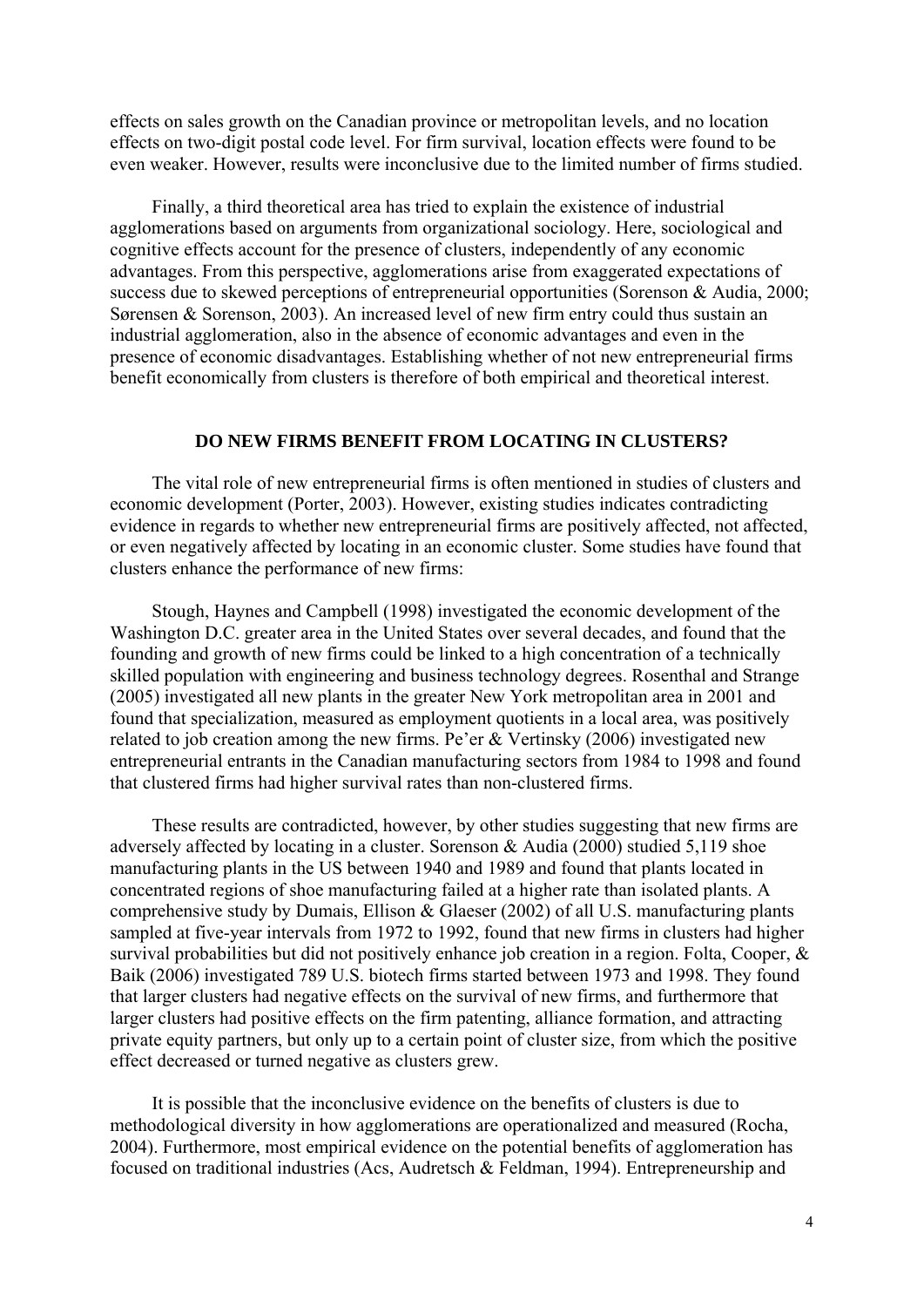effects on sales growth on the Canadian province or metropolitan levels, and no location effects on two-digit postal code level. For firm survival, location effects were found to be even weaker. However, results were inconclusive due to the limited number of firms studied.

Finally, a third theoretical area has tried to explain the existence of industrial agglomerations based on arguments from organizational sociology. Here, sociological and cognitive effects account for the presence of clusters, independently of any economic advantages. From this perspective, agglomerations arise from exaggerated expectations of success due to skewed perceptions of entrepreneurial opportunities (Sorenson & Audia, 2000; Sørensen & Sorenson, 2003). An increased level of new firm entry could thus sustain an industrial agglomeration, also in the absence of economic advantages and even in the presence of economic disadvantages. Establishing whether of not new entrepreneurial firms benefit economically from clusters is therefore of both empirical and theoretical interest.

# **DO NEW FIRMS BENEFIT FROM LOCATING IN CLUSTERS?**

The vital role of new entrepreneurial firms is often mentioned in studies of clusters and economic development (Porter, 2003). However, existing studies indicates contradicting evidence in regards to whether new entrepreneurial firms are positively affected, not affected, or even negatively affected by locating in an economic cluster. Some studies have found that clusters enhance the performance of new firms:

Stough, Haynes and Campbell (1998) investigated the economic development of the Washington D.C. greater area in the United States over several decades, and found that the founding and growth of new firms could be linked to a high concentration of a technically skilled population with engineering and business technology degrees. Rosenthal and Strange (2005) investigated all new plants in the greater New York metropolitan area in 2001 and found that specialization, measured as employment quotients in a local area, was positively related to job creation among the new firms. Pe'er & Vertinsky (2006) investigated new entrepreneurial entrants in the Canadian manufacturing sectors from 1984 to 1998 and found that clustered firms had higher survival rates than non-clustered firms.

These results are contradicted, however, by other studies suggesting that new firms are adversely affected by locating in a cluster. Sorenson & Audia (2000) studied 5,119 shoe manufacturing plants in the US between 1940 and 1989 and found that plants located in concentrated regions of shoe manufacturing failed at a higher rate than isolated plants. A comprehensive study by Dumais, Ellison  $\&$  Glaeser (2002) of all U.S. manufacturing plants sampled at five-year intervals from 1972 to 1992, found that new firms in clusters had higher survival probabilities but did not positively enhance job creation in a region. Folta, Cooper, & Baik (2006) investigated 789 U.S. biotech firms started between 1973 and 1998. They found that larger clusters had negative effects on the survival of new firms, and furthermore that larger clusters had positive effects on the firm patenting, alliance formation, and attracting private equity partners, but only up to a certain point of cluster size, from which the positive effect decreased or turned negative as clusters grew.

It is possible that the inconclusive evidence on the benefits of clusters is due to methodological diversity in how agglomerations are operationalized and measured (Rocha, 2004). Furthermore, most empirical evidence on the potential benefits of agglomeration has focused on traditional industries (Acs, Audretsch & Feldman, 1994). Entrepreneurship and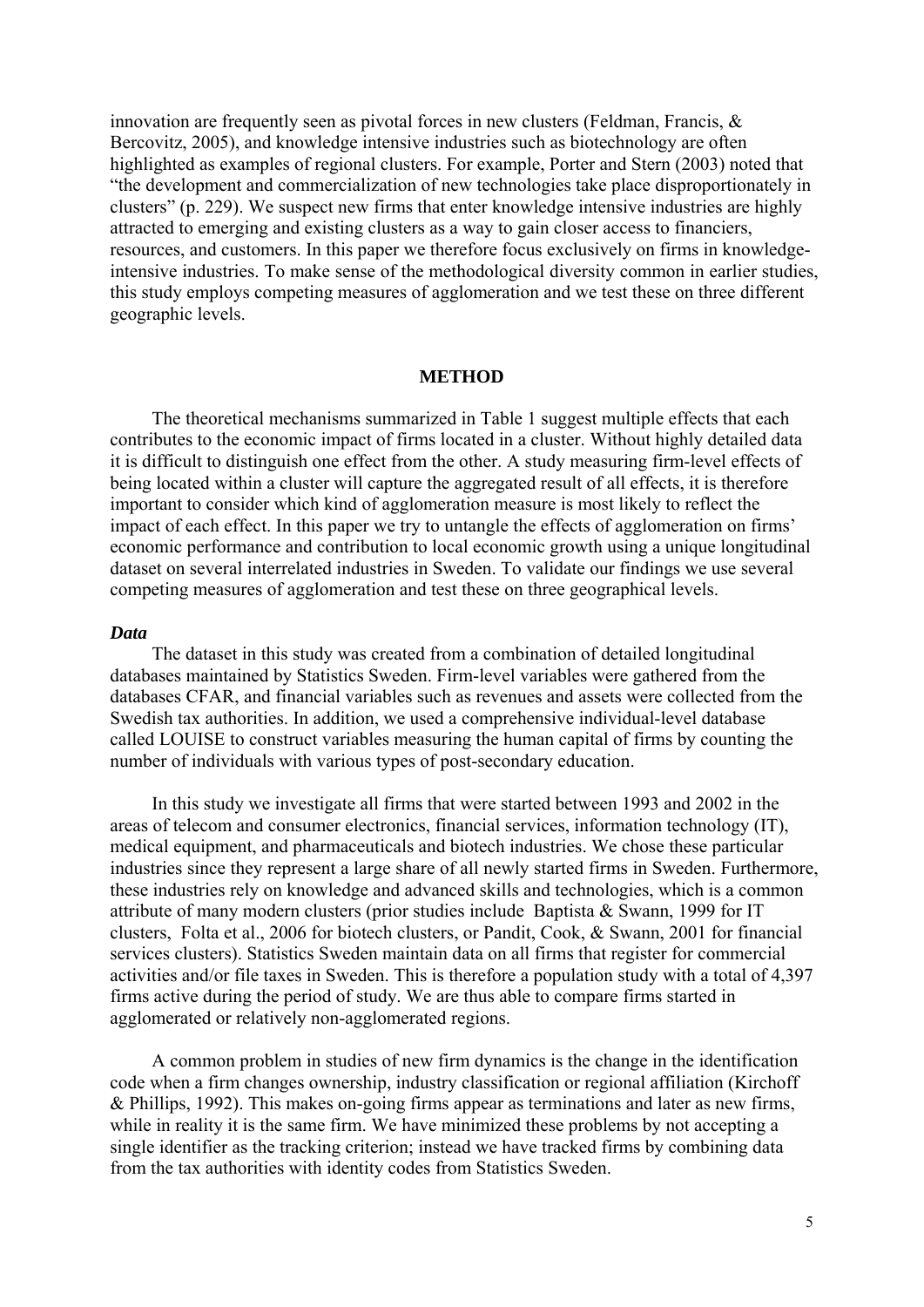innovation are frequently seen as pivotal forces in new clusters (Feldman, Francis, & Bercovitz, 2005), and knowledge intensive industries such as biotechnology are often highlighted as examples of regional clusters. For example, Porter and Stern (2003) noted that "the development and commercialization of new technologies take place disproportionately in clusters" (p. 229). We suspect new firms that enter knowledge intensive industries are highly attracted to emerging and existing clusters as a way to gain closer access to financiers, resources, and customers. In this paper we therefore focus exclusively on firms in knowledgeintensive industries. To make sense of the methodological diversity common in earlier studies, this study employs competing measures of agglomeration and we test these on three different geographic levels.

#### **METHOD**

The theoretical mechanisms summarized in Table 1 suggest multiple effects that each contributes to the economic impact of firms located in a cluster. Without highly detailed data it is difficult to distinguish one effect from the other. A study measuring firm-level effects of being located within a cluster will capture the aggregated result of all effects, it is therefore important to consider which kind of agglomeration measure is most likely to reflect the impact of each effect. In this paper we try to untangle the effects of agglomeration on firms' economic performance and contribution to local economic growth using a unique longitudinal dataset on several interrelated industries in Sweden. To validate our findings we use several competing measures of agglomeration and test these on three geographical levels.

#### *Data*

The dataset in this study was created from a combination of detailed longitudinal databases maintained by Statistics Sweden. Firm-level variables were gathered from the databases CFAR, and financial variables such as revenues and assets were collected from the Swedish tax authorities. In addition, we used a comprehensive individual-level database called LOUISE to construct variables measuring the human capital of firms by counting the number of individuals with various types of post-secondary education.

In this study we investigate all firms that were started between 1993 and 2002 in the areas of telecom and consumer electronics, financial services, information technology (IT), medical equipment, and pharmaceuticals and biotech industries. We chose these particular industries since they represent a large share of all newly started firms in Sweden. Furthermore, these industries rely on knowledge and advanced skills and technologies, which is a common attribute of many modern clusters (prior studies include Baptista & Swann, 1999 for IT clusters, Folta et al., 2006 for biotech clusters, or Pandit, Cook, & Swann, 2001 for financial services clusters). Statistics Sweden maintain data on all firms that register for commercial activities and/or file taxes in Sweden. This is therefore a population study with a total of 4,397 firms active during the period of study. We are thus able to compare firms started in agglomerated or relatively non-agglomerated regions.

A common problem in studies of new firm dynamics is the change in the identification code when a firm changes ownership, industry classification or regional affiliation (Kirchoff & Phillips, 1992). This makes on-going firms appear as terminations and later as new firms, while in reality it is the same firm. We have minimized these problems by not accepting a single identifier as the tracking criterion; instead we have tracked firms by combining data from the tax authorities with identity codes from Statistics Sweden.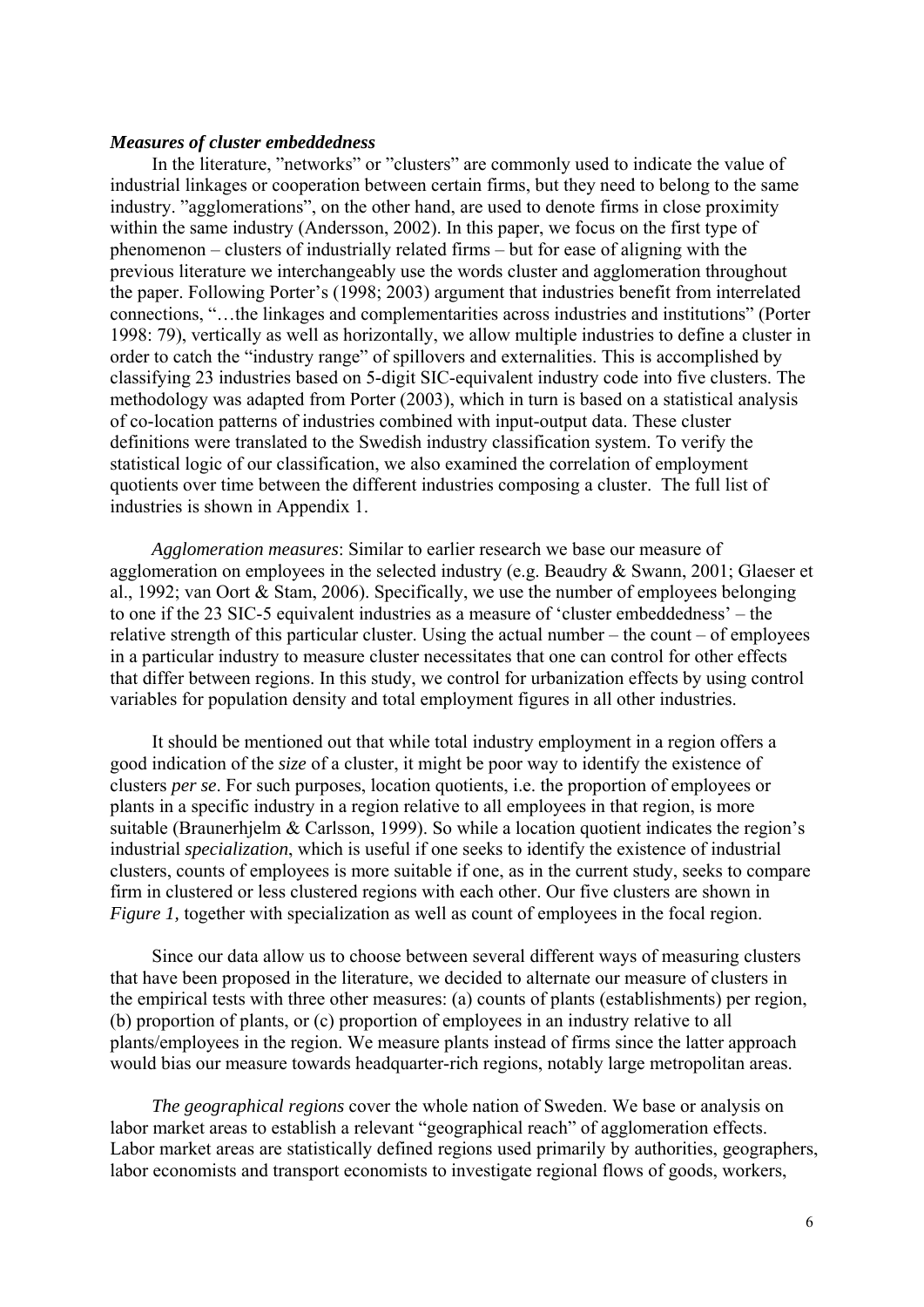#### *Measures of cluster embeddedness*

In the literature, "networks" or "clusters" are commonly used to indicate the value of industrial linkages or cooperation between certain firms, but they need to belong to the same industry. "agglomerations", on the other hand, are used to denote firms in close proximity within the same industry (Andersson, 2002). In this paper, we focus on the first type of phenomenon – clusters of industrially related firms – but for ease of aligning with the previous literature we interchangeably use the words cluster and agglomeration throughout the paper. Following Porter's (1998; 2003) argument that industries benefit from interrelated connections, "…the linkages and complementarities across industries and institutions" (Porter 1998: 79), vertically as well as horizontally, we allow multiple industries to define a cluster in order to catch the "industry range" of spillovers and externalities. This is accomplished by classifying 23 industries based on 5-digit SIC-equivalent industry code into five clusters. The methodology was adapted from Porter (2003), which in turn is based on a statistical analysis of co-location patterns of industries combined with input-output data. These cluster definitions were translated to the Swedish industry classification system. To verify the statistical logic of our classification, we also examined the correlation of employment quotients over time between the different industries composing a cluster. The full list of industries is shown in Appendix 1.

*Agglomeration measures*: Similar to earlier research we base our measure of agglomeration on employees in the selected industry (e.g. Beaudry & Swann, 2001; Glaeser et al., 1992; van Oort & Stam, 2006). Specifically, we use the number of employees belonging to one if the 23 SIC-5 equivalent industries as a measure of 'cluster embeddedness' – the relative strength of this particular cluster. Using the actual number – the count – of employees in a particular industry to measure cluster necessitates that one can control for other effects that differ between regions. In this study, we control for urbanization effects by using control variables for population density and total employment figures in all other industries.

It should be mentioned out that while total industry employment in a region offers a good indication of the *size* of a cluster, it might be poor way to identify the existence of clusters *per se*. For such purposes, location quotients, i.e. the proportion of employees or plants in a specific industry in a region relative to all employees in that region, is more suitable (Braunerhjelm & Carlsson, 1999). So while a location quotient indicates the region's industrial *specialization*, which is useful if one seeks to identify the existence of industrial clusters, counts of employees is more suitable if one, as in the current study, seeks to compare firm in clustered or less clustered regions with each other. Our five clusters are shown in *Figure 1, together with specialization as well as count of employees in the focal region.* 

Since our data allow us to choose between several different ways of measuring clusters that have been proposed in the literature, we decided to alternate our measure of clusters in the empirical tests with three other measures: (a) counts of plants (establishments) per region, (b) proportion of plants, or (c) proportion of employees in an industry relative to all plants/employees in the region. We measure plants instead of firms since the latter approach would bias our measure towards headquarter-rich regions, notably large metropolitan areas.

*The geographical regions* cover the whole nation of Sweden. We base or analysis on labor market areas to establish a relevant "geographical reach" of agglomeration effects. Labor market areas are statistically defined regions used primarily by authorities, geographers, labor economists and transport economists to investigate regional flows of goods, workers,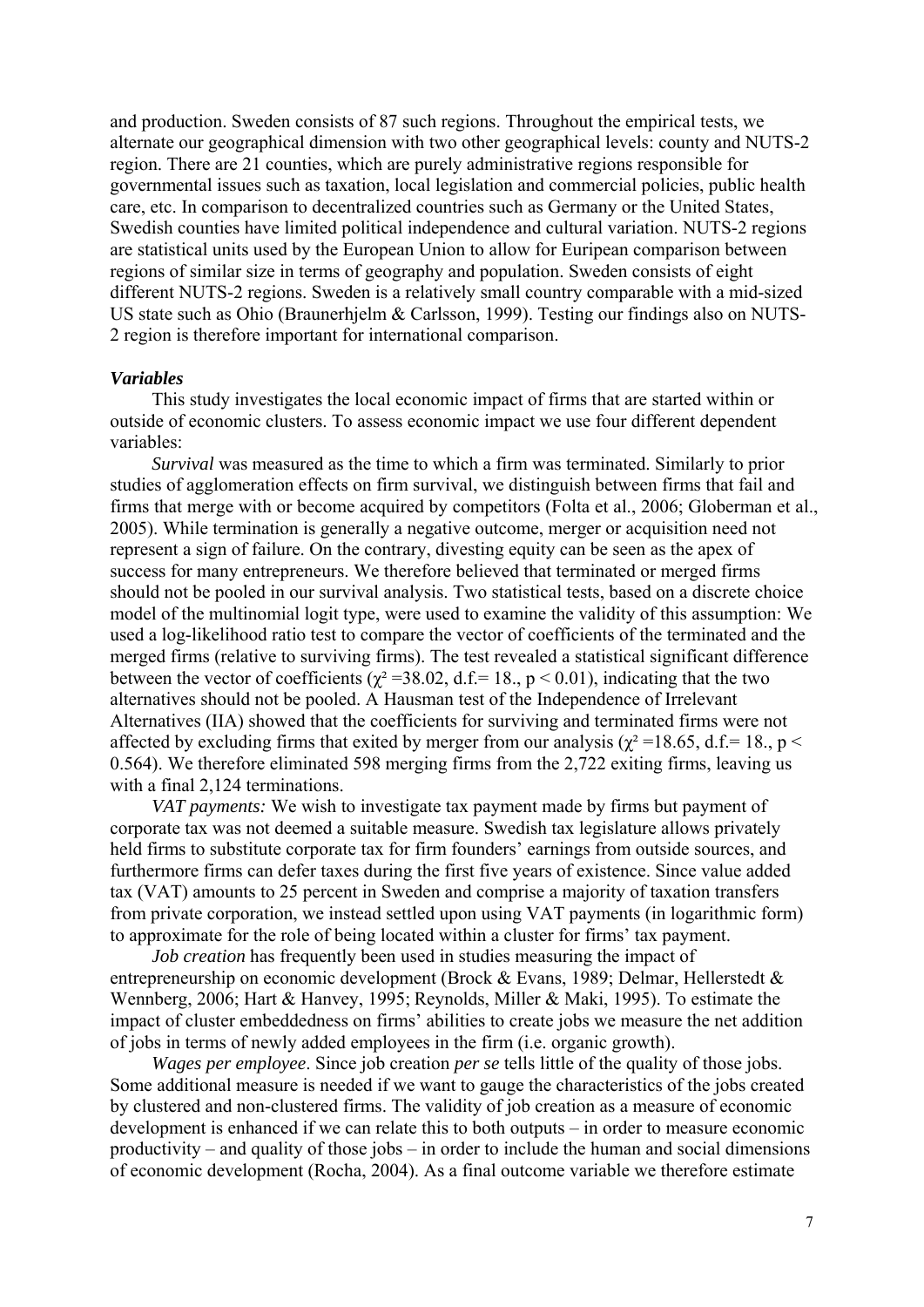and production. Sweden consists of 87 such regions. Throughout the empirical tests, we alternate our geographical dimension with two other geographical levels: county and NUTS-2 region. There are 21 counties, which are purely administrative regions responsible for governmental issues such as taxation, local legislation and commercial policies, public health care, etc. In comparison to decentralized countries such as Germany or the United States, Swedish counties have limited political independence and cultural variation. NUTS-2 regions are statistical units used by the European Union to allow for Euripean comparison between regions of similar size in terms of geography and population. Sweden consists of eight different NUTS-2 regions. Sweden is a relatively small country comparable with a mid-sized US state such as Ohio (Braunerhjelm & Carlsson, 1999). Testing our findings also on NUTS-2 region is therefore important for international comparison.

#### *Variables*

This study investigates the local economic impact of firms that are started within or outside of economic clusters. To assess economic impact we use four different dependent variables:

*Survival* was measured as the time to which a firm was terminated. Similarly to prior studies of agglomeration effects on firm survival, we distinguish between firms that fail and firms that merge with or become acquired by competitors (Folta et al., 2006; Globerman et al., 2005). While termination is generally a negative outcome, merger or acquisition need not represent a sign of failure. On the contrary, divesting equity can be seen as the apex of success for many entrepreneurs. We therefore believed that terminated or merged firms should not be pooled in our survival analysis. Two statistical tests, based on a discrete choice model of the multinomial logit type, were used to examine the validity of this assumption: We used a log-likelihood ratio test to compare the vector of coefficients of the terminated and the merged firms (relative to surviving firms). The test revealed a statistical significant difference between the vector of coefficients ( $\chi^2$  =38.02, d.f.= 18., p < 0.01), indicating that the two alternatives should not be pooled. A Hausman test of the Independence of Irrelevant Alternatives (IIA) showed that the coefficients for surviving and terminated firms were not affected by excluding firms that exited by merger from our analysis ( $\chi^2$  =18.65, d.f.= 18., p < 0.564). We therefore eliminated 598 merging firms from the 2,722 exiting firms, leaving us with a final 2,124 terminations.

*VAT payments:* We wish to investigate tax payment made by firms but payment of corporate tax was not deemed a suitable measure. Swedish tax legislature allows privately held firms to substitute corporate tax for firm founders' earnings from outside sources, and furthermore firms can defer taxes during the first five years of existence. Since value added tax (VAT) amounts to 25 percent in Sweden and comprise a majority of taxation transfers from private corporation, we instead settled upon using VAT payments (in logarithmic form) to approximate for the role of being located within a cluster for firms' tax payment.

*Job creation* has frequently been used in studies measuring the impact of entrepreneurship on economic development (Brock & Evans, 1989; Delmar, Hellerstedt & Wennberg, 2006; Hart & Hanvey, 1995; Reynolds, Miller & Maki, 1995). To estimate the impact of cluster embeddedness on firms' abilities to create jobs we measure the net addition of jobs in terms of newly added employees in the firm (i.e. organic growth).

*Wages per employee*. Since job creation *per se* tells little of the quality of those jobs. Some additional measure is needed if we want to gauge the characteristics of the jobs created by clustered and non-clustered firms. The validity of job creation as a measure of economic development is enhanced if we can relate this to both outputs – in order to measure economic productivity – and quality of those jobs – in order to include the human and social dimensions of economic development (Rocha, 2004). As a final outcome variable we therefore estimate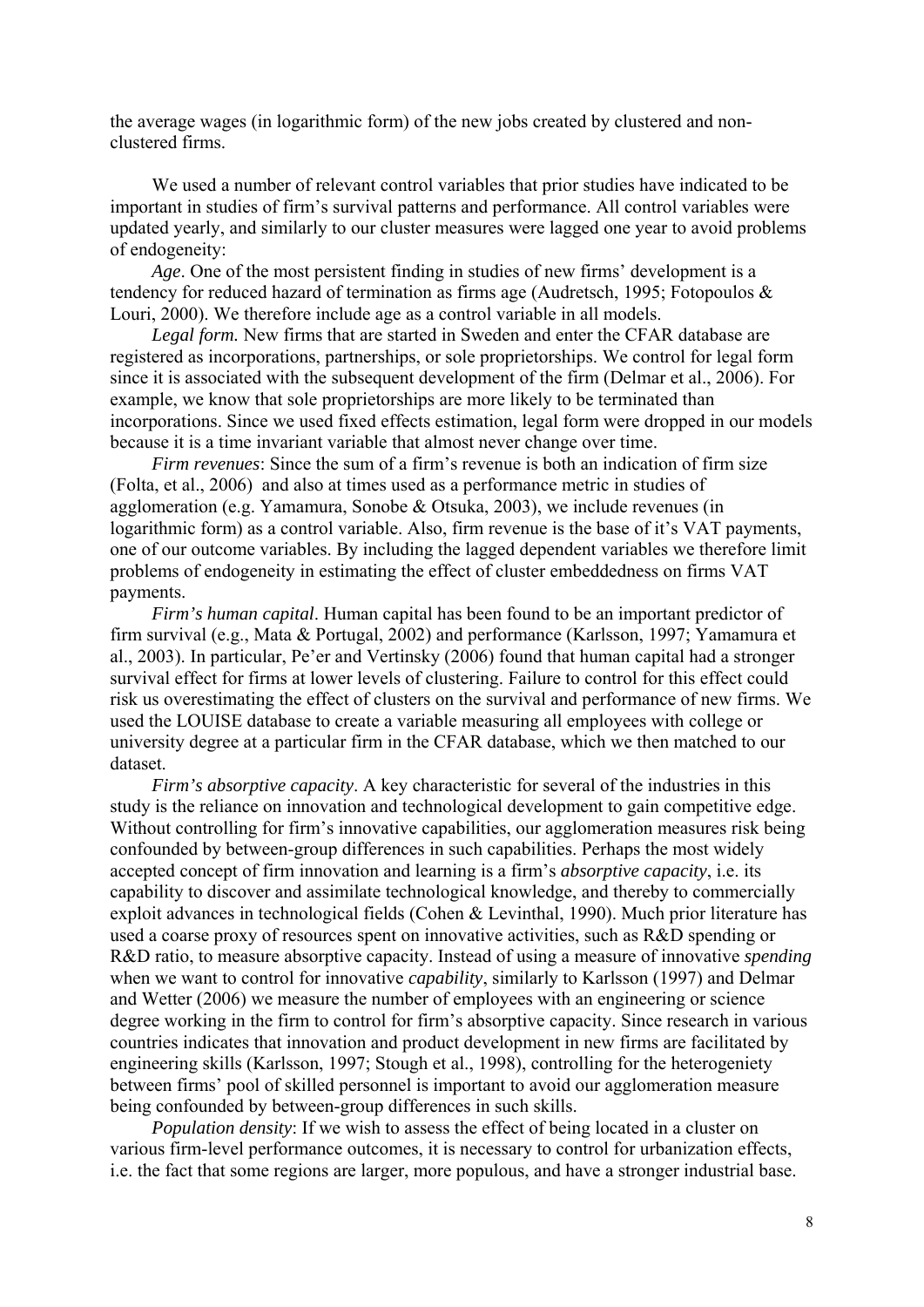the average wages (in logarithmic form) of the new jobs created by clustered and nonclustered firms.

We used a number of relevant control variables that prior studies have indicated to be important in studies of firm's survival patterns and performance. All control variables were updated yearly, and similarly to our cluster measures were lagged one year to avoid problems of endogeneity:

*Age*. One of the most persistent finding in studies of new firms' development is a tendency for reduced hazard of termination as firms age (Audretsch, 1995; Fotopoulos & Louri, 2000). We therefore include age as a control variable in all models.

*Legal form.* New firms that are started in Sweden and enter the CFAR database are registered as incorporations, partnerships, or sole proprietorships. We control for legal form since it is associated with the subsequent development of the firm (Delmar et al., 2006). For example, we know that sole proprietorships are more likely to be terminated than incorporations. Since we used fixed effects estimation, legal form were dropped in our models because it is a time invariant variable that almost never change over time.

*Firm revenues*: Since the sum of a firm's revenue is both an indication of firm size (Folta, et al., 2006) and also at times used as a performance metric in studies of agglomeration (e.g. Yamamura, Sonobe & Otsuka, 2003), we include revenues (in logarithmic form) as a control variable. Also, firm revenue is the base of it's VAT payments, one of our outcome variables. By including the lagged dependent variables we therefore limit problems of endogeneity in estimating the effect of cluster embeddedness on firms VAT payments.

*Firm's human capital*. Human capital has been found to be an important predictor of firm survival (e.g., Mata & Portugal, 2002) and performance (Karlsson, 1997; Yamamura et al., 2003). In particular, Pe'er and Vertinsky (2006) found that human capital had a stronger survival effect for firms at lower levels of clustering. Failure to control for this effect could risk us overestimating the effect of clusters on the survival and performance of new firms. We used the LOUISE database to create a variable measuring all employees with college or university degree at a particular firm in the CFAR database, which we then matched to our dataset.

*Firm's absorptive capacity*. A key characteristic for several of the industries in this study is the reliance on innovation and technological development to gain competitive edge. Without controlling for firm's innovative capabilities, our agglomeration measures risk being confounded by between-group differences in such capabilities. Perhaps the most widely accepted concept of firm innovation and learning is a firm's *absorptive capacity*, i.e. its capability to discover and assimilate technological knowledge, and thereby to commercially exploit advances in technological fields (Cohen & Levinthal, 1990). Much prior literature has used a coarse proxy of resources spent on innovative activities, such as R&D spending or R&D ratio, to measure absorptive capacity. Instead of using a measure of innovative *spending* when we want to control for innovative *capability*, similarly to Karlsson (1997) and Delmar and Wetter (2006) we measure the number of employees with an engineering or science degree working in the firm to control for firm's absorptive capacity. Since research in various countries indicates that innovation and product development in new firms are facilitated by engineering skills (Karlsson, 1997; Stough et al., 1998), controlling for the heterogeniety between firms' pool of skilled personnel is important to avoid our agglomeration measure being confounded by between-group differences in such skills.

*Population density*: If we wish to assess the effect of being located in a cluster on various firm-level performance outcomes, it is necessary to control for urbanization effects, i.e. the fact that some regions are larger, more populous, and have a stronger industrial base.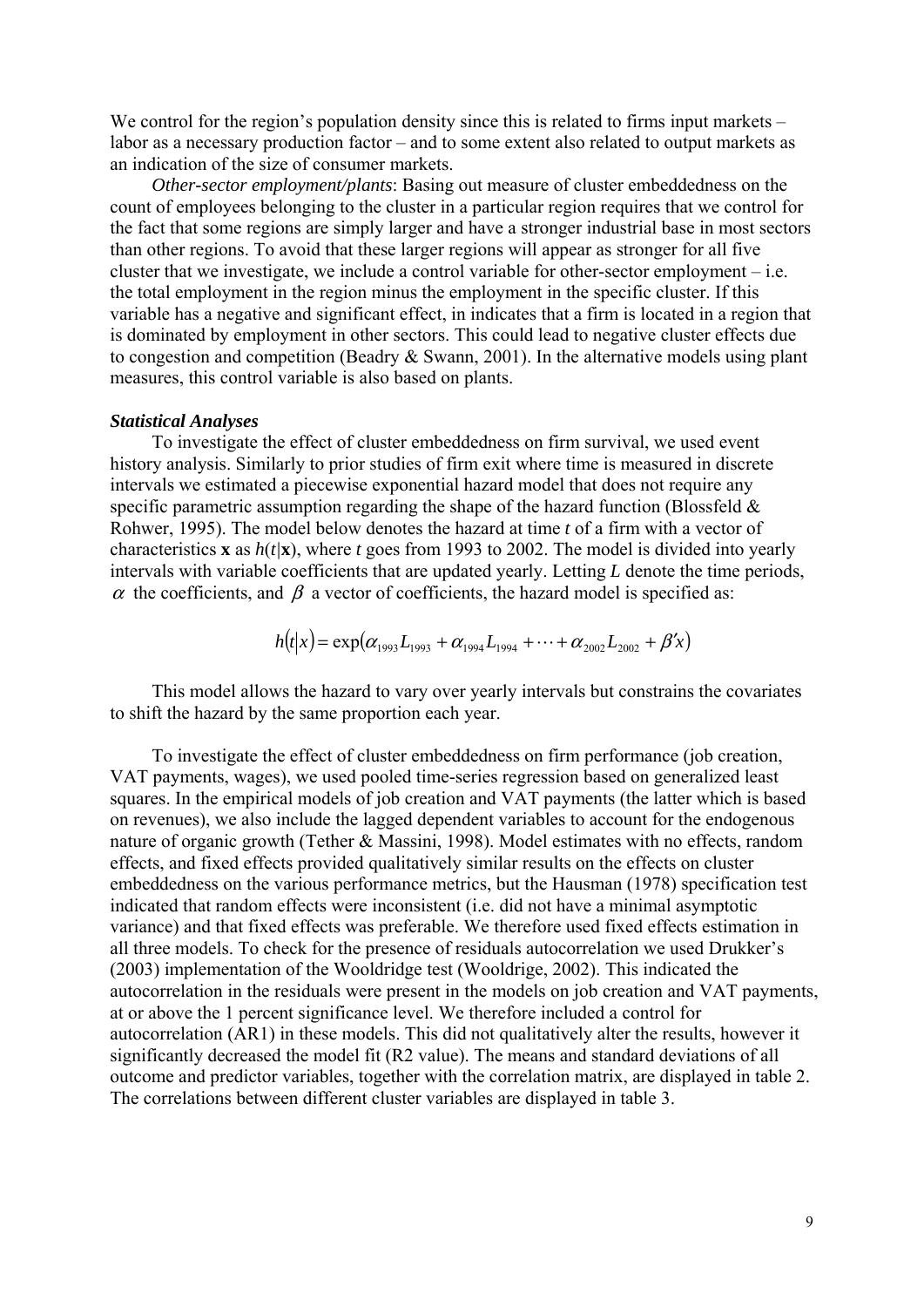We control for the region's population density since this is related to firms input markets – labor as a necessary production factor – and to some extent also related to output markets as an indication of the size of consumer markets.

*Other-sector employment/plants*: Basing out measure of cluster embeddedness on the count of employees belonging to the cluster in a particular region requires that we control for the fact that some regions are simply larger and have a stronger industrial base in most sectors than other regions. To avoid that these larger regions will appear as stronger for all five cluster that we investigate, we include a control variable for other-sector employment – i.e. the total employment in the region minus the employment in the specific cluster. If this variable has a negative and significant effect, in indicates that a firm is located in a region that is dominated by employment in other sectors. This could lead to negative cluster effects due to congestion and competition (Beadry & Swann, 2001). In the alternative models using plant measures, this control variable is also based on plants.

#### *Statistical Analyses*

To investigate the effect of cluster embeddedness on firm survival, we used event history analysis. Similarly to prior studies of firm exit where time is measured in discrete intervals we estimated a piecewise exponential hazard model that does not require any specific parametric assumption regarding the shape of the hazard function (Blossfeld  $\&$ Rohwer, 1995). The model below denotes the hazard at time *t* of a firm with a vector of characteristics **x** as  $h(t|\mathbf{x})$ , where *t* goes from 1993 to 2002. The model is divided into yearly intervals with variable coefficients that are updated yearly. Letting *L* denote the time periods,  $\alpha$  the coefficients, and  $\beta$  a vector of coefficients, the hazard model is specified as:

$$
h(t|x) = \exp(\alpha_{1993} L_{1993} + \alpha_{1994} L_{1994} + \cdots + \alpha_{2002} L_{2002} + \beta' x)
$$

This model allows the hazard to vary over yearly intervals but constrains the covariates to shift the hazard by the same proportion each year.

To investigate the effect of cluster embeddedness on firm performance (job creation, VAT payments, wages), we used pooled time-series regression based on generalized least squares. In the empirical models of job creation and VAT payments (the latter which is based on revenues), we also include the lagged dependent variables to account for the endogenous nature of organic growth (Tether & Massini, 1998). Model estimates with no effects, random effects, and fixed effects provided qualitatively similar results on the effects on cluster embeddedness on the various performance metrics, but the Hausman (1978) specification test indicated that random effects were inconsistent (i.e. did not have a minimal asymptotic variance) and that fixed effects was preferable. We therefore used fixed effects estimation in all three models. To check for the presence of residuals autocorrelation we used Drukker's (2003) implementation of the Wooldridge test (Wooldrige, 2002). This indicated the autocorrelation in the residuals were present in the models on job creation and VAT payments, at or above the 1 percent significance level. We therefore included a control for autocorrelation (AR1) in these models. This did not qualitatively alter the results, however it significantly decreased the model fit (R2 value). The means and standard deviations of all outcome and predictor variables, together with the correlation matrix, are displayed in table 2. The correlations between different cluster variables are displayed in table 3.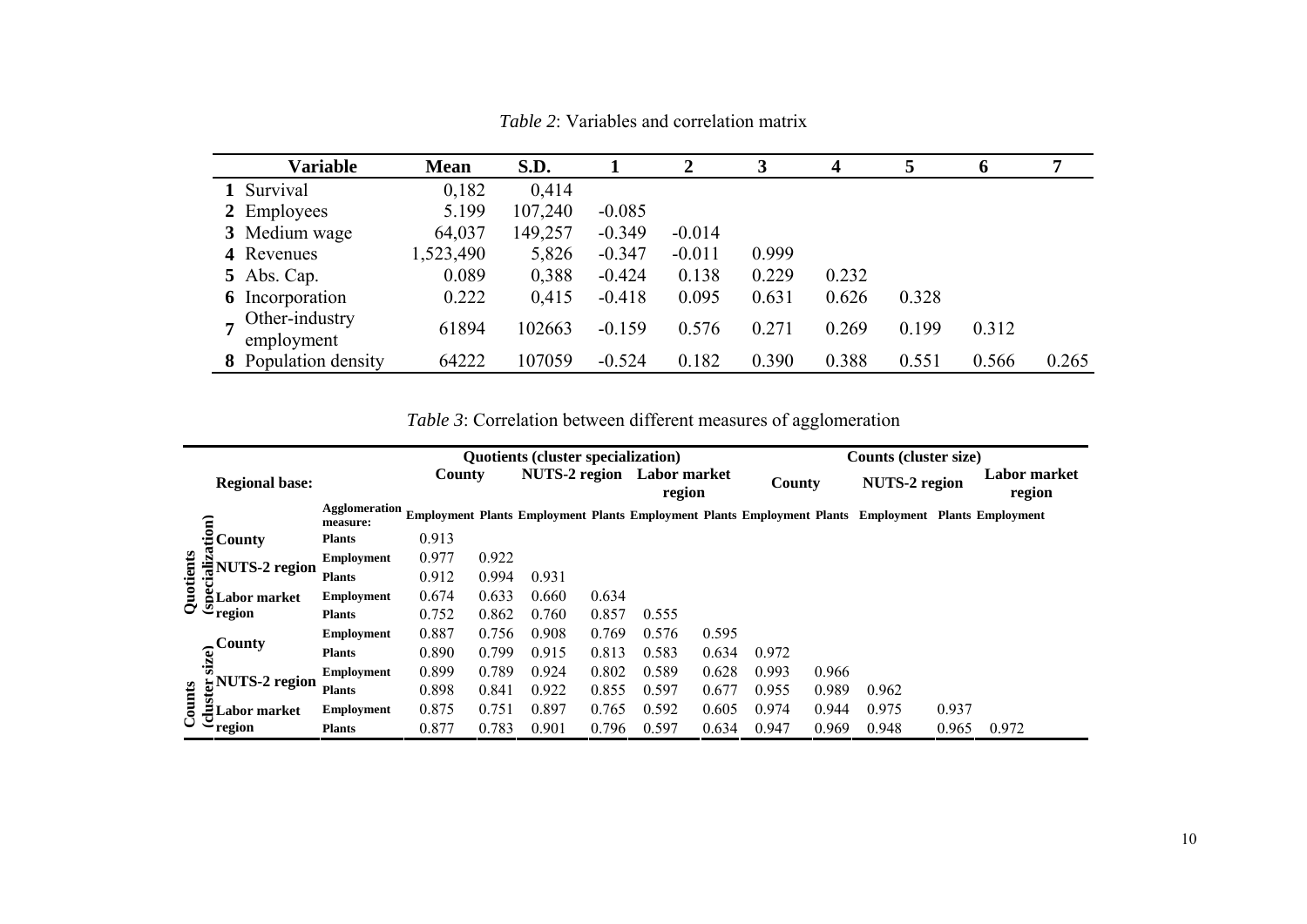| <b>Variable</b>                                | <b>Mean</b> | S.D.    |          | $\mathbf 2$ | 3     | $\boldsymbol{4}$ | 5     | 6     | 7     |
|------------------------------------------------|-------------|---------|----------|-------------|-------|------------------|-------|-------|-------|
| 1 Survival                                     | 0,182       | 0,414   |          |             |       |                  |       |       |       |
| 2 Employees                                    | 5.199       | 107,240 | $-0.085$ |             |       |                  |       |       |       |
| 3 Medium wage                                  | 64,037      | 149,257 | $-0.349$ | $-0.014$    |       |                  |       |       |       |
| 4 Revenues                                     | 1,523,490   | 5,826   | $-0.347$ | $-0.011$    | 0.999 |                  |       |       |       |
| 5 Abs. Cap.                                    | 0.089       | 0,388   | $-0.424$ | 0.138       | 0.229 | 0.232            |       |       |       |
| <b>6</b> Incorporation                         | 0.222       | 0,415   | $-0.418$ | 0.095       | 0.631 | 0.626            | 0.328 |       |       |
| Other-industry<br>$\overline{ }$<br>employment | 61894       | 102663  | $-0.159$ | 0.576       | 0.271 | 0.269            | 0.199 | 0.312 |       |
| <b>8</b> Population density                    | 64222       | 107059  | $-0.524$ | 0.182       | 0.390 | 0.388            | 0.551 | 0.566 | 0.265 |

*Table 2*: Variables and correlation matrix

*Table 3*: Correlation between different measures of agglomeration

|           |                            |                           |        | <b>Quotients (cluster specialization)</b> |                      |       |                        |       |        |       | Counts (cluster size)                                                                                |       |                        |
|-----------|----------------------------|---------------------------|--------|-------------------------------------------|----------------------|-------|------------------------|-------|--------|-------|------------------------------------------------------------------------------------------------------|-------|------------------------|
|           | <b>Regional base:</b>      |                           | County |                                           | <b>NUTS-2 region</b> |       | Labor market<br>region |       | County |       | <b>NUTS-2 region</b>                                                                                 |       | Labor market<br>region |
|           |                            | Agglomeration<br>measure: |        |                                           |                      |       |                        |       |        |       | Employment Plants Employment Plants Employment Plants Employment Plants Employment Plants Employment |       |                        |
|           | ttion)<br>County           | <b>Plants</b>             | 0.913  |                                           |                      |       |                        |       |        |       |                                                                                                      |       |                        |
|           |                            | <b>Employment</b>         | 0.977  | 0.922                                     |                      |       |                        |       |        |       |                                                                                                      |       |                        |
| iali      | <b>NUTS-2 region</b>       | <b>Plants</b>             | 0.912  | 0.994                                     | 0.931                |       |                        |       |        |       |                                                                                                      |       |                        |
| Quotients | å<br>Labor market          | <b>Employment</b>         | 0.674  | 0.633                                     | 0.660                | 0.634 |                        |       |        |       |                                                                                                      |       |                        |
|           | $\sim \frac{5}{2}$ region  | <b>Plants</b>             | 0.752  | 0.862                                     | 0.760                | 0.857 | 0.555                  |       |        |       |                                                                                                      |       |                        |
|           |                            | <b>Employment</b>         | 0.887  | 0.756                                     | 0.908                | 0.769 | 0.576                  | 0.595 |        |       |                                                                                                      |       |                        |
|           | .Countv<br>size)           | <b>Plants</b>             | 0.890  | 0.799                                     | 0.915                | 0.813 | 0.583                  | 0.634 | 0.972  |       |                                                                                                      |       |                        |
|           | <b>NUTS-2 region</b>       | <b>Employment</b>         | 0.899  | 0.789                                     | 0.924                | 0.802 | 0.589                  | 0.628 | 0.993  | 0.966 |                                                                                                      |       |                        |
|           |                            | <b>Plants</b>             | 0.898  | 0.841                                     | 0.922                | 0.855 | 0.597                  | 0.677 | 0.955  | 0.989 | 0.962                                                                                                |       |                        |
| Counts    | $\ddot{5}$<br>Labor market | <b>Employment</b>         | 0.875  | 0.751                                     | 0.897                | 0.765 | 0.592                  | 0.605 | 0.974  | 0.944 | 0.975                                                                                                | 0.937 |                        |
|           | region                     | <b>Plants</b>             | 0.877  | 0.783                                     | 0.901                | 0.796 | 0.597                  | 0.634 | 0.947  | 0.969 | 0.948                                                                                                | 0.965 | 0.972                  |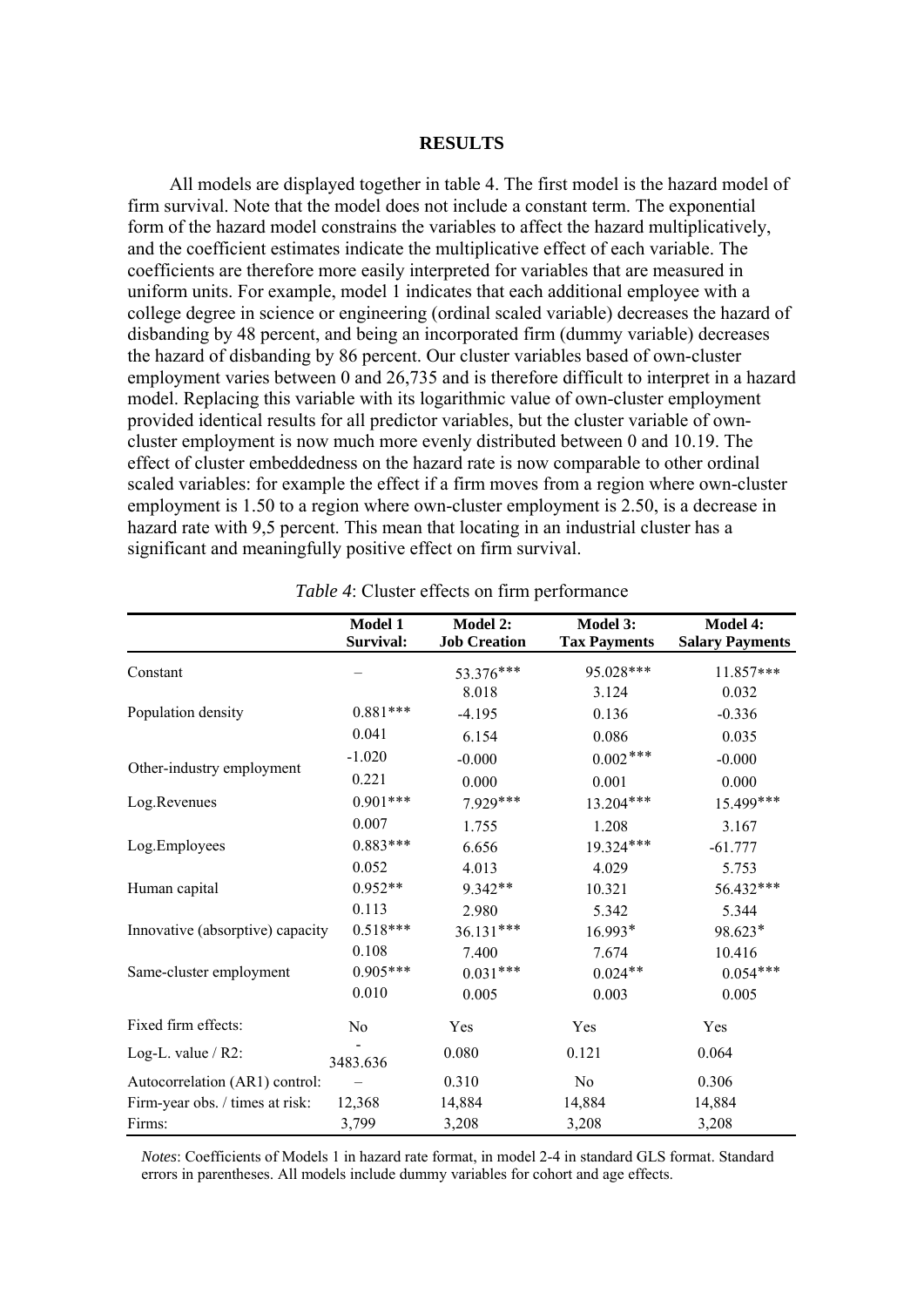#### **RESULTS**

All models are displayed together in table 4. The first model is the hazard model of firm survival. Note that the model does not include a constant term. The exponential form of the hazard model constrains the variables to affect the hazard multiplicatively, and the coefficient estimates indicate the multiplicative effect of each variable. The coefficients are therefore more easily interpreted for variables that are measured in uniform units. For example, model 1 indicates that each additional employee with a college degree in science or engineering (ordinal scaled variable) decreases the hazard of disbanding by 48 percent, and being an incorporated firm (dummy variable) decreases the hazard of disbanding by 86 percent. Our cluster variables based of own-cluster employment varies between 0 and 26,735 and is therefore difficult to interpret in a hazard model. Replacing this variable with its logarithmic value of own-cluster employment provided identical results for all predictor variables, but the cluster variable of owncluster employment is now much more evenly distributed between 0 and 10.19. The effect of cluster embeddedness on the hazard rate is now comparable to other ordinal scaled variables: for example the effect if a firm moves from a region where own-cluster employment is 1.50 to a region where own-cluster employment is 2.50, is a decrease in hazard rate with 9,5 percent. This mean that locating in an industrial cluster has a significant and meaningfully positive effect on firm survival.

|                                  | <b>Model 1</b><br>Survival: | Model 2:<br><b>Job Creation</b> | Model 3:<br><b>Tax Payments</b> | <b>Model 4:</b><br><b>Salary Payments</b> |
|----------------------------------|-----------------------------|---------------------------------|---------------------------------|-------------------------------------------|
| Constant                         |                             | 53.376***<br>8.018              | 95.028***<br>3.124              | 11.857***<br>0.032                        |
| Population density               | $0.881***$                  | $-4.195$                        | 0.136                           | $-0.336$                                  |
|                                  | 0.041                       | 6.154                           | 0.086                           | 0.035                                     |
|                                  | $-1.020$                    | $-0.000$                        | $0.002$ ***                     | $-0.000$                                  |
| Other-industry employment        | 0.221                       | 0.000                           | 0.001                           | 0.000                                     |
| Log.Revenues                     | $0.901***$                  | 7.929***                        | $13.204***$                     | 15.499***                                 |
|                                  | 0.007                       | 1.755                           | 1.208                           | 3.167                                     |
| Log.Employees                    | $0.883***$                  | 6.656                           | 19.324***                       | $-61.777$                                 |
|                                  | 0.052                       | 4.013                           | 4.029                           | 5.753                                     |
| Human capital                    | $0.952**$                   | $9.342**$                       | 10.321                          | 56.432***                                 |
|                                  | 0.113                       | 2.980                           | 5.342                           | 5.344                                     |
| Innovative (absorptive) capacity | $0.518***$                  | $36.131***$                     | 16.993*                         | 98.623*                                   |
|                                  | 0.108                       | 7.400                           | 7.674                           | 10.416                                    |
| Same-cluster employment          | $0.905***$                  | $0.031***$                      | $0.024**$                       | $0.054***$                                |
|                                  | 0.010                       | 0.005                           | 0.003                           | 0.005                                     |
| Fixed firm effects:              | No                          | Yes                             | Yes                             | Yes                                       |
| Log-L. value $/R2$ :             | 3483.636                    | 0.080                           | 0.121                           | 0.064                                     |
| Autocorrelation (AR1) control:   |                             | 0.310                           | N <sub>0</sub>                  | 0.306                                     |
| Firm-year obs. / times at risk:  | 12,368                      | 14,884                          | 14,884                          | 14,884                                    |
| Firms:                           | 3,799                       | 3,208                           | 3,208                           | 3,208                                     |

|  |  | <i>Table 4:</i> Cluster effects on firm performance |
|--|--|-----------------------------------------------------|
|  |  |                                                     |

*Notes*: Coefficients of Models 1 in hazard rate format, in model 2-4 in standard GLS format. Standard errors in parentheses. All models include dummy variables for cohort and age effects.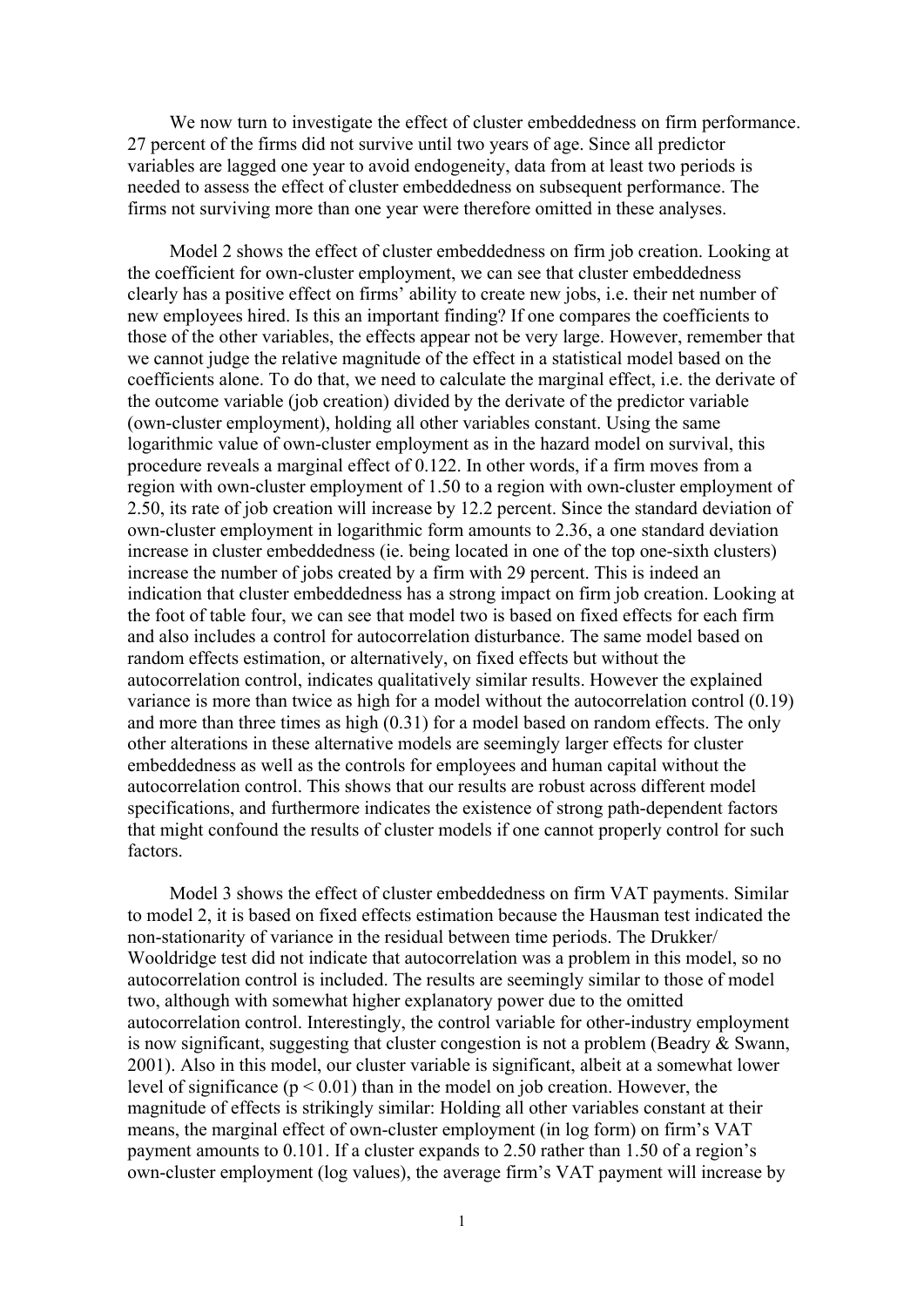We now turn to investigate the effect of cluster embeddedness on firm performance. 27 percent of the firms did not survive until two years of age. Since all predictor variables are lagged one year to avoid endogeneity, data from at least two periods is needed to assess the effect of cluster embeddedness on subsequent performance. The firms not surviving more than one year were therefore omitted in these analyses.

Model 2 shows the effect of cluster embeddedness on firm job creation. Looking at the coefficient for own-cluster employment, we can see that cluster embeddedness clearly has a positive effect on firms' ability to create new jobs, i.e. their net number of new employees hired. Is this an important finding? If one compares the coefficients to those of the other variables, the effects appear not be very large. However, remember that we cannot judge the relative magnitude of the effect in a statistical model based on the coefficients alone. To do that, we need to calculate the marginal effect, i.e. the derivate of the outcome variable (job creation) divided by the derivate of the predictor variable (own-cluster employment), holding all other variables constant. Using the same logarithmic value of own-cluster employment as in the hazard model on survival, this procedure reveals a marginal effect of 0.122. In other words, if a firm moves from a region with own-cluster employment of 1.50 to a region with own-cluster employment of 2.50, its rate of job creation will increase by 12.2 percent. Since the standard deviation of own-cluster employment in logarithmic form amounts to 2.36, a one standard deviation increase in cluster embeddedness (ie. being located in one of the top one-sixth clusters) increase the number of jobs created by a firm with 29 percent. This is indeed an indication that cluster embeddedness has a strong impact on firm job creation. Looking at the foot of table four, we can see that model two is based on fixed effects for each firm and also includes a control for autocorrelation disturbance. The same model based on random effects estimation, or alternatively, on fixed effects but without the autocorrelation control, indicates qualitatively similar results. However the explained variance is more than twice as high for a model without the autocorrelation control (0.19) and more than three times as high (0.31) for a model based on random effects. The only other alterations in these alternative models are seemingly larger effects for cluster embeddedness as well as the controls for employees and human capital without the autocorrelation control. This shows that our results are robust across different model specifications, and furthermore indicates the existence of strong path-dependent factors that might confound the results of cluster models if one cannot properly control for such **factors** 

Model 3 shows the effect of cluster embeddedness on firm VAT payments. Similar to model 2, it is based on fixed effects estimation because the Hausman test indicated the non-stationarity of variance in the residual between time periods. The Drukker/ Wooldridge test did not indicate that autocorrelation was a problem in this model, so no autocorrelation control is included. The results are seemingly similar to those of model two, although with somewhat higher explanatory power due to the omitted autocorrelation control. Interestingly, the control variable for other-industry employment is now significant, suggesting that cluster congestion is not a problem (Beadry & Swann, 2001). Also in this model, our cluster variable is significant, albeit at a somewhat lower level of significance  $(p < 0.01)$  than in the model on job creation. However, the magnitude of effects is strikingly similar: Holding all other variables constant at their means, the marginal effect of own-cluster employment (in log form) on firm's VAT payment amounts to 0.101. If a cluster expands to 2.50 rather than 1.50 of a region's own-cluster employment (log values), the average firm's VAT payment will increase by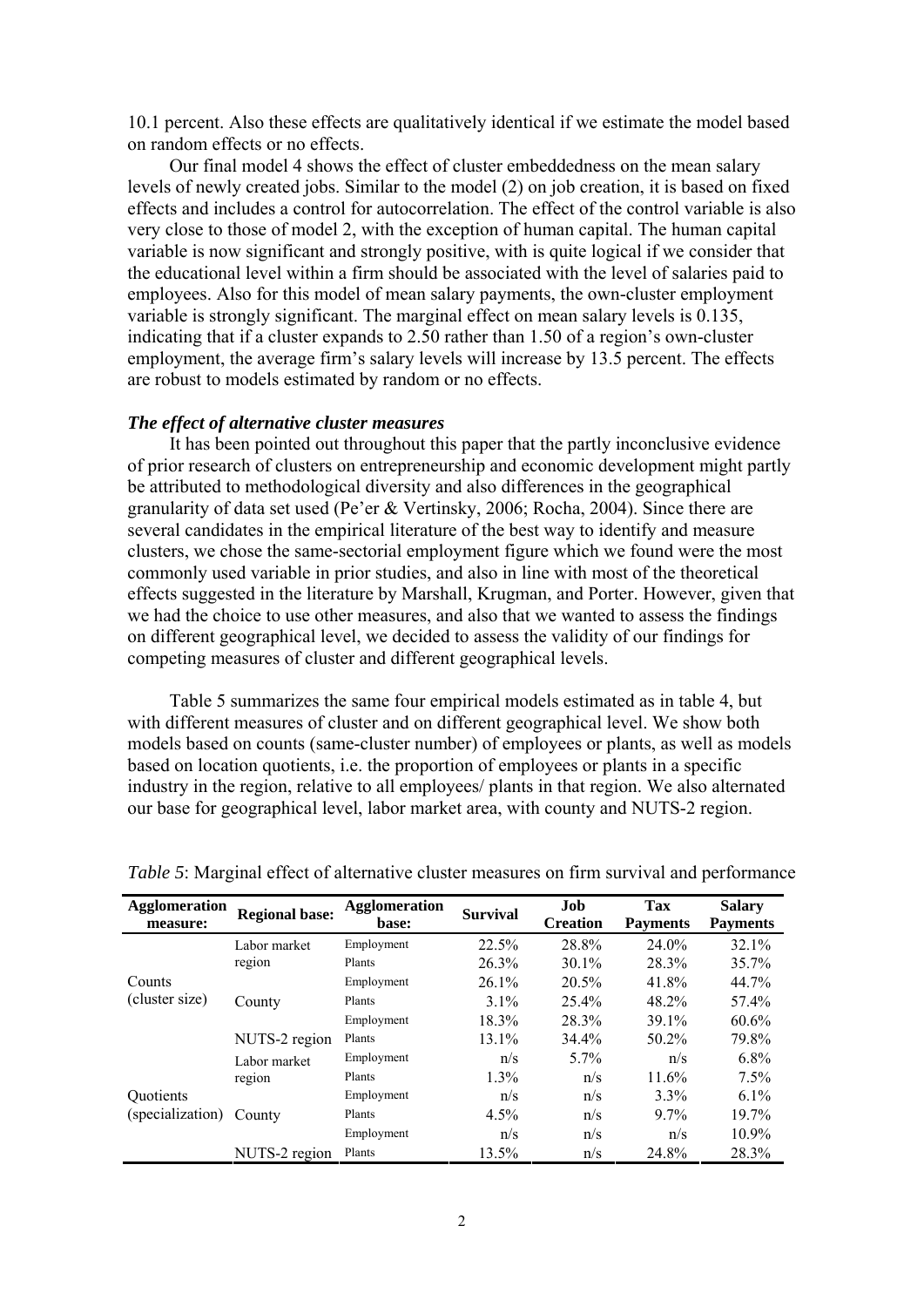10.1 percent. Also these effects are qualitatively identical if we estimate the model based on random effects or no effects.

Our final model 4 shows the effect of cluster embeddedness on the mean salary levels of newly created jobs. Similar to the model (2) on job creation, it is based on fixed effects and includes a control for autocorrelation. The effect of the control variable is also very close to those of model 2, with the exception of human capital. The human capital variable is now significant and strongly positive, with is quite logical if we consider that the educational level within a firm should be associated with the level of salaries paid to employees. Also for this model of mean salary payments, the own-cluster employment variable is strongly significant. The marginal effect on mean salary levels is 0.135, indicating that if a cluster expands to 2.50 rather than 1.50 of a region's own-cluster employment, the average firm's salary levels will increase by 13.5 percent. The effects are robust to models estimated by random or no effects.

# *The effect of alternative cluster measures*

It has been pointed out throughout this paper that the partly inconclusive evidence of prior research of clusters on entrepreneurship and economic development might partly be attributed to methodological diversity and also differences in the geographical granularity of data set used (Pe'er & Vertinsky, 2006; Rocha, 2004). Since there are several candidates in the empirical literature of the best way to identify and measure clusters, we chose the same-sectorial employment figure which we found were the most commonly used variable in prior studies, and also in line with most of the theoretical effects suggested in the literature by Marshall, Krugman, and Porter. However, given that we had the choice to use other measures, and also that we wanted to assess the findings on different geographical level, we decided to assess the validity of our findings for competing measures of cluster and different geographical levels.

Table 5 summarizes the same four empirical models estimated as in table 4, but with different measures of cluster and on different geographical level. We show both models based on counts (same-cluster number) of employees or plants, as well as models based on location quotients, i.e. the proportion of employees or plants in a specific industry in the region, relative to all employees/ plants in that region. We also alternated our base for geographical level, labor market area, with county and NUTS-2 region.

| <b>Agglomeration</b><br>measure: | <b>Regional base:</b> | <b>Agglomeration</b><br>base: | <b>Survival</b> | Job<br><b>Creation</b> | <b>Tax</b><br><b>Payments</b> | <b>Salary</b><br><b>Payments</b> |
|----------------------------------|-----------------------|-------------------------------|-----------------|------------------------|-------------------------------|----------------------------------|
|                                  | Labor market          | Employment                    | 22.5%           | 28.8%                  | 24.0%                         | 32.1%                            |
|                                  | region                | Plants                        | 26.3%           | $30.1\%$               | 28.3%                         | $35.7\%$                         |
| Counts                           | County                | Employment                    | $26.1\%$        | 20.5%                  | 41.8%                         | 44.7%                            |
| (cluster size)                   |                       | Plants                        | $3.1\%$         | $25.4\%$               | 48.2%                         | 57.4%                            |
|                                  |                       | Employment                    | 18.3%           | 28.3%                  | 39.1%                         | 60.6%                            |
|                                  | NUTS-2 region         | Plants                        | $13.1\%$        | 34.4%                  | $50.2\%$                      | 79.8%                            |
|                                  | Labor market          | Employment                    | n/s             | $5.7\%$                | n/s                           | $6.8\%$                          |
|                                  | region                | Plants                        | $1.3\%$         | n/s                    | 11.6%                         | $7.5\%$                          |
| <b>Ouotients</b>                 | County                | Employment                    | n/s             | n/s                    | $3.3\%$                       | $6.1\%$                          |
| (specialization)                 |                       | Plants                        | $4.5\%$         | n/s                    | $9.7\%$                       | $19.7\%$                         |
|                                  |                       | Employment                    | n/s             | n/s                    | n/s                           | 10.9%                            |
|                                  | NUTS-2 region         | Plants                        | 13.5%           | n/s                    | 24.8%                         | 28.3%                            |

*Table 5*: Marginal effect of alternative cluster measures on firm survival and performance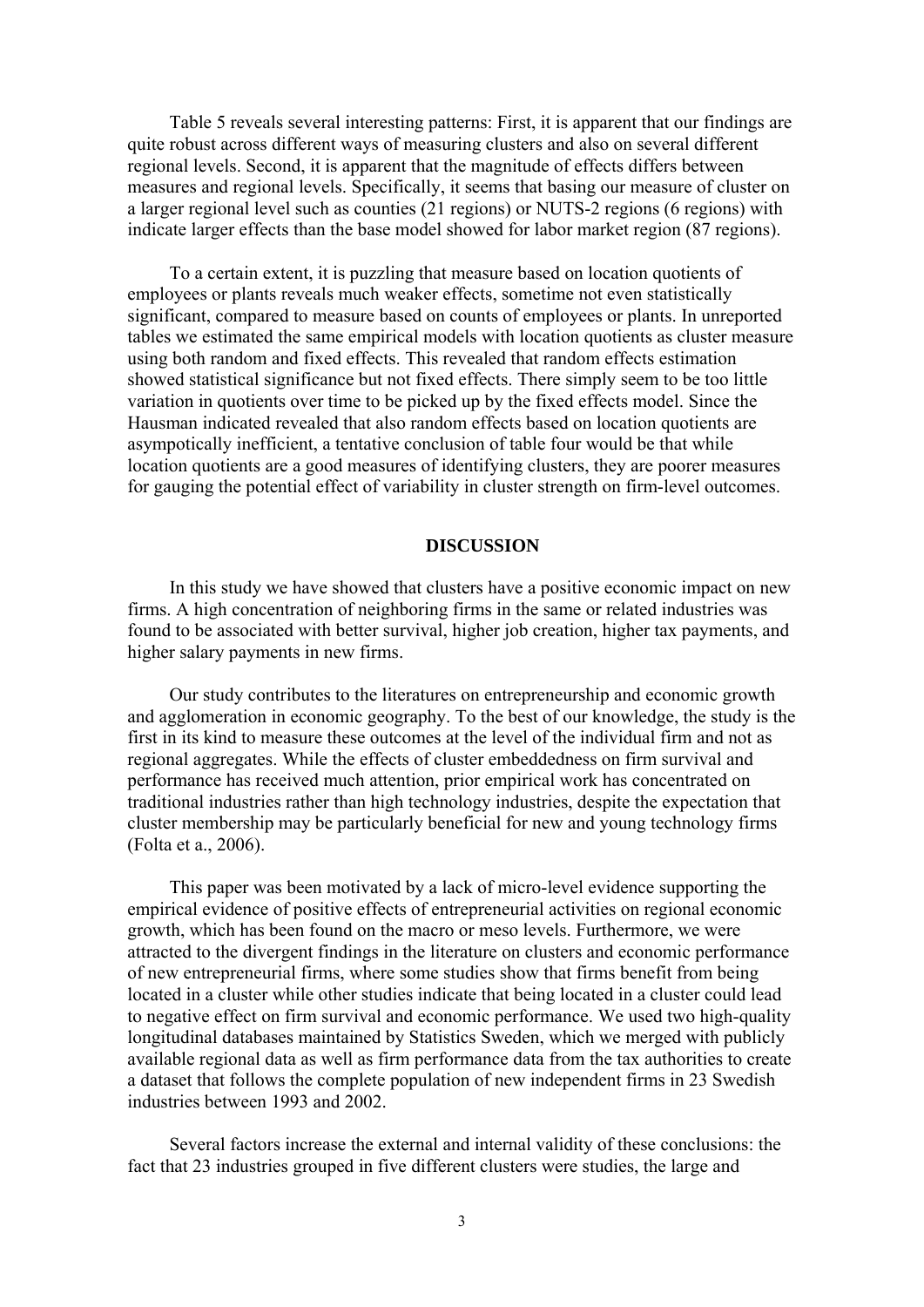Table 5 reveals several interesting patterns: First, it is apparent that our findings are quite robust across different ways of measuring clusters and also on several different regional levels. Second, it is apparent that the magnitude of effects differs between measures and regional levels. Specifically, it seems that basing our measure of cluster on a larger regional level such as counties (21 regions) or NUTS-2 regions (6 regions) with indicate larger effects than the base model showed for labor market region (87 regions).

To a certain extent, it is puzzling that measure based on location quotients of employees or plants reveals much weaker effects, sometime not even statistically significant, compared to measure based on counts of employees or plants. In unreported tables we estimated the same empirical models with location quotients as cluster measure using both random and fixed effects. This revealed that random effects estimation showed statistical significance but not fixed effects. There simply seem to be too little variation in quotients over time to be picked up by the fixed effects model. Since the Hausman indicated revealed that also random effects based on location quotients are asympotically inefficient, a tentative conclusion of table four would be that while location quotients are a good measures of identifying clusters, they are poorer measures for gauging the potential effect of variability in cluster strength on firm-level outcomes.

#### **DISCUSSION**

In this study we have showed that clusters have a positive economic impact on new firms. A high concentration of neighboring firms in the same or related industries was found to be associated with better survival, higher job creation, higher tax payments, and higher salary payments in new firms.

Our study contributes to the literatures on entrepreneurship and economic growth and agglomeration in economic geography. To the best of our knowledge, the study is the first in its kind to measure these outcomes at the level of the individual firm and not as regional aggregates. While the effects of cluster embeddedness on firm survival and performance has received much attention, prior empirical work has concentrated on traditional industries rather than high technology industries, despite the expectation that cluster membership may be particularly beneficial for new and young technology firms (Folta et a., 2006).

This paper was been motivated by a lack of micro-level evidence supporting the empirical evidence of positive effects of entrepreneurial activities on regional economic growth, which has been found on the macro or meso levels. Furthermore, we were attracted to the divergent findings in the literature on clusters and economic performance of new entrepreneurial firms, where some studies show that firms benefit from being located in a cluster while other studies indicate that being located in a cluster could lead to negative effect on firm survival and economic performance. We used two high-quality longitudinal databases maintained by Statistics Sweden, which we merged with publicly available regional data as well as firm performance data from the tax authorities to create a dataset that follows the complete population of new independent firms in 23 Swedish industries between 1993 and 2002.

Several factors increase the external and internal validity of these conclusions: the fact that 23 industries grouped in five different clusters were studies, the large and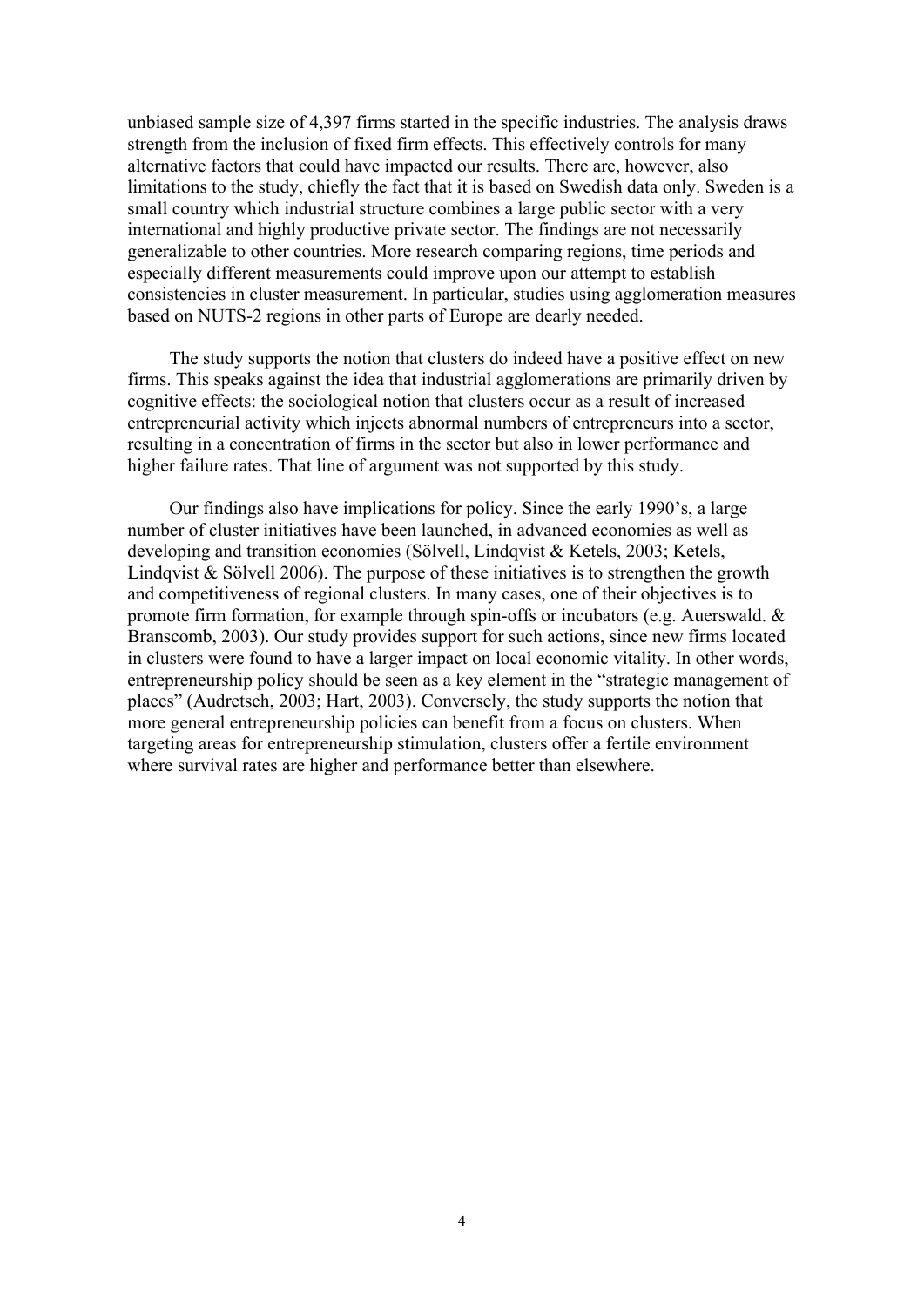unbiased sample size of 4,397 firms started in the specific industries. The analysis draws strength from the inclusion of fixed firm effects. This effectively controls for many alternative factors that could have impacted our results. There are, however, also limitations to the study, chiefly the fact that it is based on Swedish data only. Sweden is a small country which industrial structure combines a large public sector with a very international and highly productive private sector. The findings are not necessarily generalizable to other countries. More research comparing regions, time periods and especially different measurements could improve upon our attempt to establish consistencies in cluster measurement. In particular, studies using agglomeration measures based on NUTS-2 regions in other parts of Europe are dearly needed.

The study supports the notion that clusters do indeed have a positive effect on new firms. This speaks against the idea that industrial agglomerations are primarily driven by cognitive effects: the sociological notion that clusters occur as a result of increased entrepreneurial activity which injects abnormal numbers of entrepreneurs into a sector, resulting in a concentration of firms in the sector but also in lower performance and higher failure rates. That line of argument was not supported by this study.

Our findings also have implications for policy. Since the early 1990's, a large number of cluster initiatives have been launched, in advanced economies as well as developing and transition economies (Sölvell, Lindqvist & Ketels, 2003; Ketels, Lindqvist & Sölvell 2006). The purpose of these initiatives is to strengthen the growth and competitiveness of regional clusters. In many cases, one of their objectives is to promote firm formation, for example through spin-offs or incubators (e.g. Auerswald. & Branscomb, 2003). Our study provides support for such actions, since new firms located in clusters were found to have a larger impact on local economic vitality. In other words, entrepreneurship policy should be seen as a key element in the "strategic management of places" (Audretsch, 2003; Hart, 2003). Conversely, the study supports the notion that more general entrepreneurship policies can benefit from a focus on clusters. When targeting areas for entrepreneurship stimulation, clusters offer a fertile environment where survival rates are higher and performance better than elsewhere.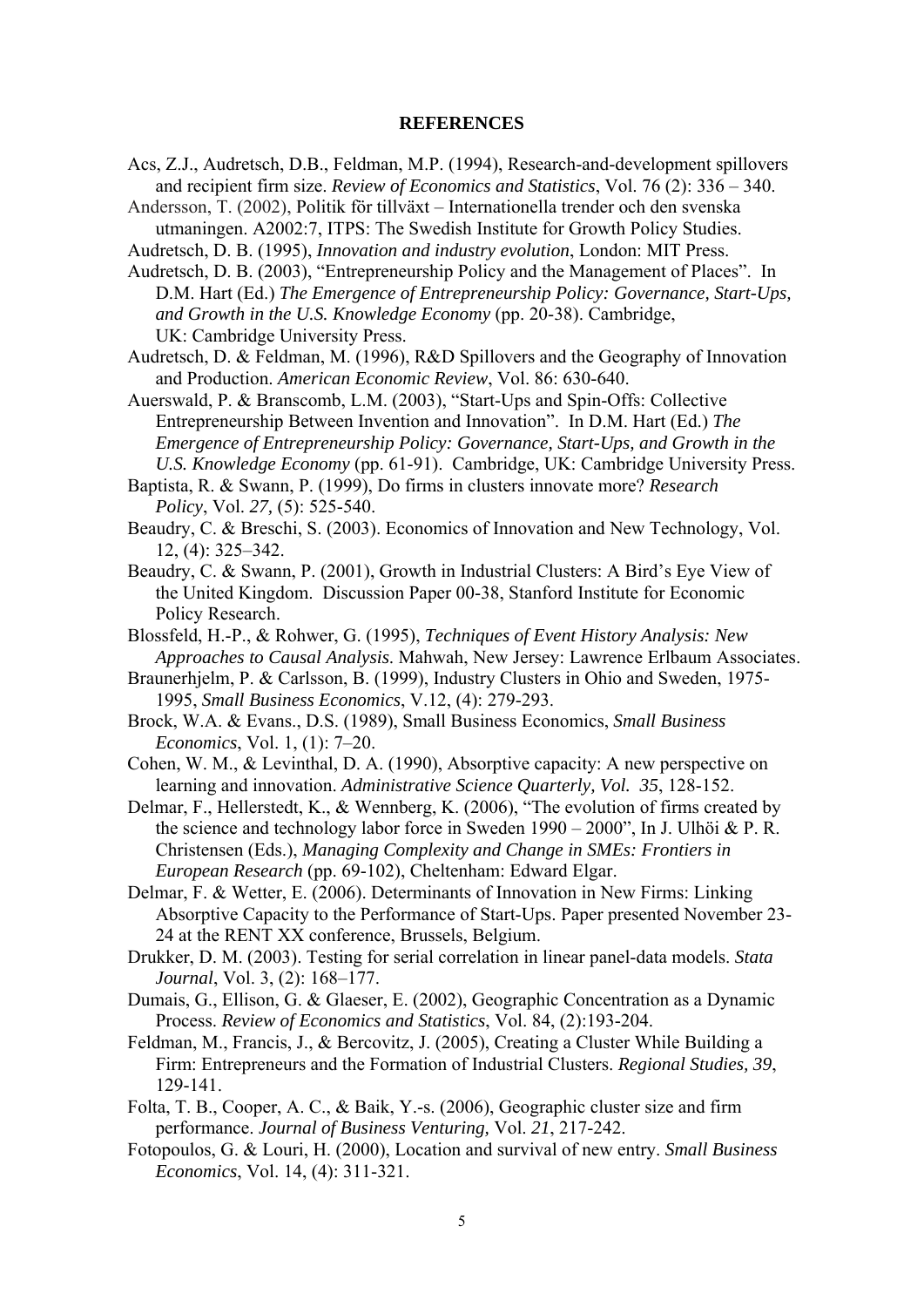#### **REFERENCES**

Acs, Z.J., Audretsch, D.B., Feldman, M.P. (1994), Research-and-development spillovers and recipient firm size. *Review of Economics and Statistics*, Vol. 76 (2): 336 – 340.

Andersson, T. (2002), Politik för tillväxt – Internationella trender och den svenska utmaningen. A2002:7, ITPS: The Swedish Institute for Growth Policy Studies.

- Audretsch, D. B. (1995), *Innovation and industry evolution*, London: MIT Press.
- Audretsch, D. B. (2003), "Entrepreneurship Policy and the Management of Places". In D.M. Hart (Ed.) *The Emergence of Entrepreneurship Policy: Governance, Start-Ups, and Growth in the U.S. Knowledge Economy* (pp. 20-38). Cambridge, UK: Cambridge University Press.
- Audretsch, D. & Feldman, M. (1996), R&D Spillovers and the Geography of Innovation and Production. *American Economic Review*, Vol. 86: 630-640.
- Auerswald, P. & Branscomb, L.M. (2003), "Start-Ups and Spin-Offs: Collective Entrepreneurship Between Invention and Innovation". In D.M. Hart (Ed.) *The Emergence of Entrepreneurship Policy: Governance, Start-Ups, and Growth in the U.S. Knowledge Economy* (pp. 61-91). Cambridge, UK: Cambridge University Press.
- Baptista, R. & Swann, P. (1999), Do firms in clusters innovate more? *Research Policy*, Vol. *27,* (5): 525-540.
- Beaudry, C. & Breschi, S. (2003). Economics of Innovation and New Technology, Vol. 12, (4): 325–342.
- Beaudry, C. & Swann, P. (2001), Growth in Industrial Clusters: A Bird's Eye View of the United Kingdom. Discussion Paper 00-38, Stanford Institute for Economic Policy Research.
- Blossfeld, H.-P., & Rohwer, G. (1995), *Techniques of Event History Analysis: New Approaches to Causal Analysis*. Mahwah, New Jersey: Lawrence Erlbaum Associates.
- Braunerhjelm, P. & Carlsson, B. (1999), Industry Clusters in Ohio and Sweden, 1975- 1995, *Small Business Economics*, V.12, (4): 279-293.
- Brock, W.A. & Evans., D.S. (1989), Small Business Economics, *Small Business Economics*, Vol. 1, (1): 7–20.
- Cohen, W. M., & Levinthal, D. A. (1990), Absorptive capacity: A new perspective on learning and innovation. *Administrative Science Quarterly, Vol. 35*, 128-152.
- Delmar, F., Hellerstedt, K., & Wennberg, K. (2006), "The evolution of firms created by the science and technology labor force in Sweden 1990 – 2000", In J. Ulhöi & P. R. Christensen (Eds.), *Managing Complexity and Change in SMEs: Frontiers in European Research* (pp. 69-102), Cheltenham: Edward Elgar.
- Delmar, F. & Wetter, E. (2006). Determinants of Innovation in New Firms: Linking Absorptive Capacity to the Performance of Start-Ups. Paper presented November 23- 24 at the RENT XX conference, Brussels, Belgium.
- Drukker, D. M. (2003). Testing for serial correlation in linear panel-data models. *Stata Journal*, Vol. 3, (2): 168–177.
- Dumais, G., Ellison, G. & Glaeser, E. (2002), Geographic Concentration as a Dynamic Process. *Review of Economics and Statistics*, Vol. 84, (2):193-204.
- Feldman, M., Francis, J., & Bercovitz, J. (2005), Creating a Cluster While Building a Firm: Entrepreneurs and the Formation of Industrial Clusters. *Regional Studies, 39*, 129-141.
- Folta, T. B., Cooper, A. C., & Baik, Y.-s. (2006), Geographic cluster size and firm performance. *Journal of Business Venturing,* Vol. *21*, 217-242.
- Fotopoulos, G. & Louri, H. (2000), Location and survival of new entry. *Small Business Economics*, Vol. 14, (4): 311-321.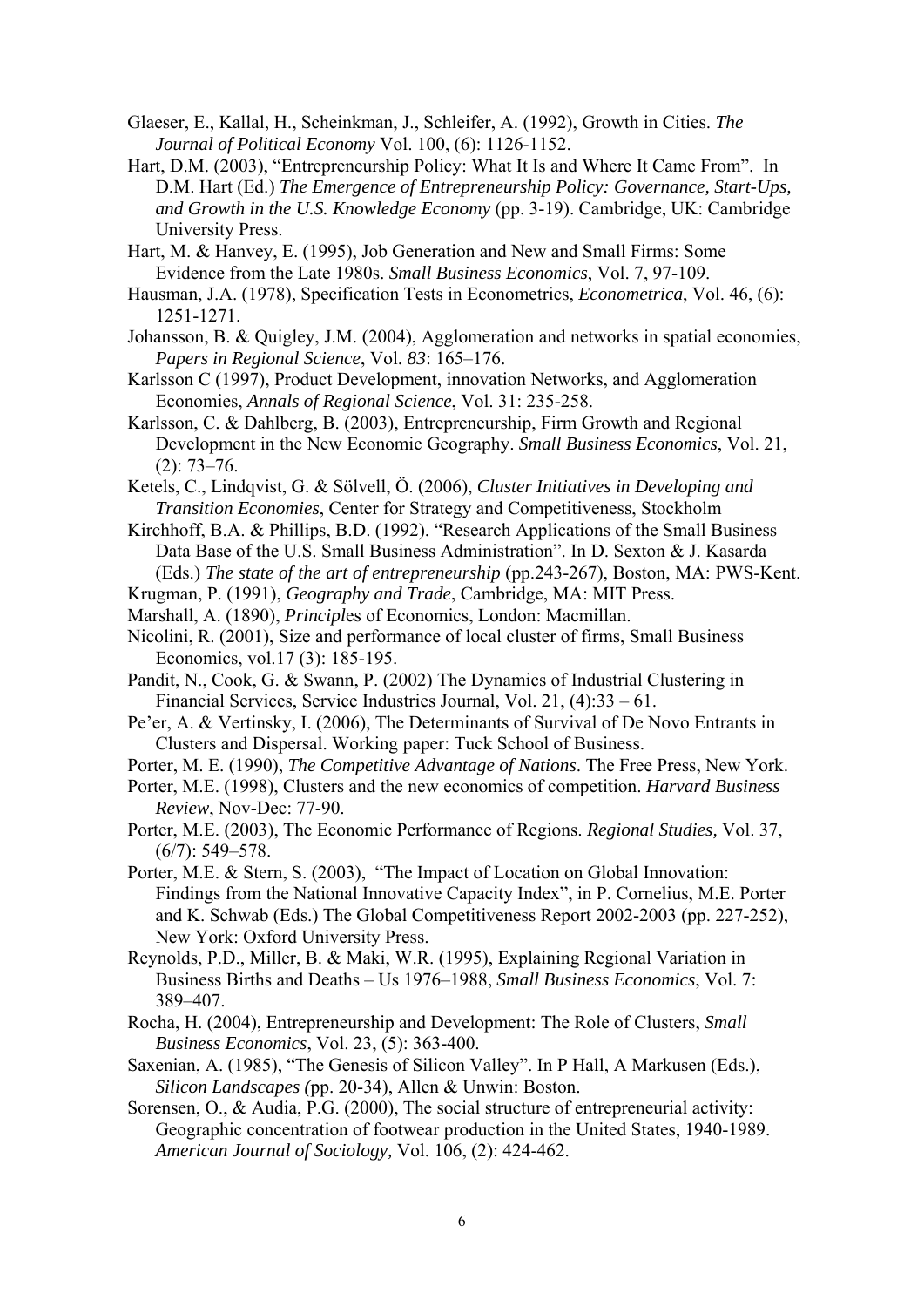- Glaeser, E., Kallal, H., Scheinkman, J., Schleifer, A. (1992), Growth in Cities. *The Journal of Political Economy* Vol. 100, (6): 1126-1152.
- Hart, D.M. (2003), "Entrepreneurship Policy: What It Is and Where It Came From". In D.M. Hart (Ed.) *The Emergence of Entrepreneurship Policy: Governance, Start-Ups, and Growth in the U.S. Knowledge Economy* (pp. 3-19). Cambridge, UK: Cambridge University Press.
- Hart, M. & Hanvey, E. (1995), Job Generation and New and Small Firms: Some Evidence from the Late 1980s. *Small Business Economics*, Vol. 7, 97-109.
- Hausman, J.A. (1978), Specification Tests in Econometrics, *Econometrica*, Vol. 46, (6): 1251-1271.
- Johansson, B. & Quigley, J.M. (2004), Agglomeration and networks in spatial economies, *Papers in Regional Science*, Vol. *83*: 165–176.
- Karlsson C (1997), Product Development, innovation Networks, and Agglomeration Economies, *Annals of Regional Science*, Vol. 31: 235-258.
- Karlsson, C. & Dahlberg, B. (2003), Entrepreneurship, Firm Growth and Regional Development in the New Economic Geography. *Small Business Economics*, Vol. 21, (2): 73–76.
- Ketels, C., Lindqvist, G. & Sölvell, Ö. (2006), *Cluster Initiatives in Developing and Transition Economies*, Center for Strategy and Competitiveness, Stockholm
- Kirchhoff, B.A. & Phillips, B.D. (1992). "Research Applications of the Small Business Data Base of the U.S. Small Business Administration". In D. Sexton & J. Kasarda (Eds.) *The state of the art of entrepreneurship* (pp.243-267), Boston, MA: PWS-Kent.
- Krugman, P. (1991), *Geography and Trade*, Cambridge, MA: MIT Press.
- Marshall, A. (1890), *Principl*es of Economics, London: Macmillan.
- Nicolini, R. (2001), Size and performance of local cluster of firms, Small Business Economics, vol.17 (3): 185-195.
- Pandit, N., Cook, G. & Swann, P. (2002) The Dynamics of Industrial Clustering in Financial Services, Service Industries Journal, Vol. 21, (4):33 – 61.
- Pe'er, A. & Vertinsky, I. (2006), The Determinants of Survival of De Novo Entrants in Clusters and Dispersal. Working paper: Tuck School of Business.
- Porter, M. E. (1990), *The Competitive Advantage of Nations*. The Free Press, New York.
- Porter, M.E. (1998), Clusters and the new economics of competition. *Harvard Business Review*, Nov-Dec: 77-90.
- Porter, M.E. (2003), The Economic Performance of Regions. *Regional Studies,* Vol. 37, (6/7): 549–578.
- Porter, M.E. & Stern, S. (2003), "The Impact of Location on Global Innovation: Findings from the National Innovative Capacity Index", in P. Cornelius, M.E. Porter and K. Schwab (Eds.) The Global Competitiveness Report 2002-2003 (pp. 227-252), New York: Oxford University Press.
- Reynolds, P.D., Miller, B. & Maki, W.R. (1995), Explaining Regional Variation in Business Births and Deaths – Us 1976–1988, *Small Business Economics*, Vol. 7: 389–407.
- Rocha, H. (2004), Entrepreneurship and Development: The Role of Clusters, *Small Business Economics*, Vol. 23, (5): 363-400.
- Saxenian, A. (1985), "The Genesis of Silicon Valley". In P Hall, A Markusen (Eds.), *Silicon Landscapes (*pp. 20-34), Allen & Unwin: Boston.
- Sorensen, O., & Audia, P.G. (2000), The social structure of entrepreneurial activity: Geographic concentration of footwear production in the United States, 1940-1989. *American Journal of Sociology,* Vol. 106, (2): 424-462.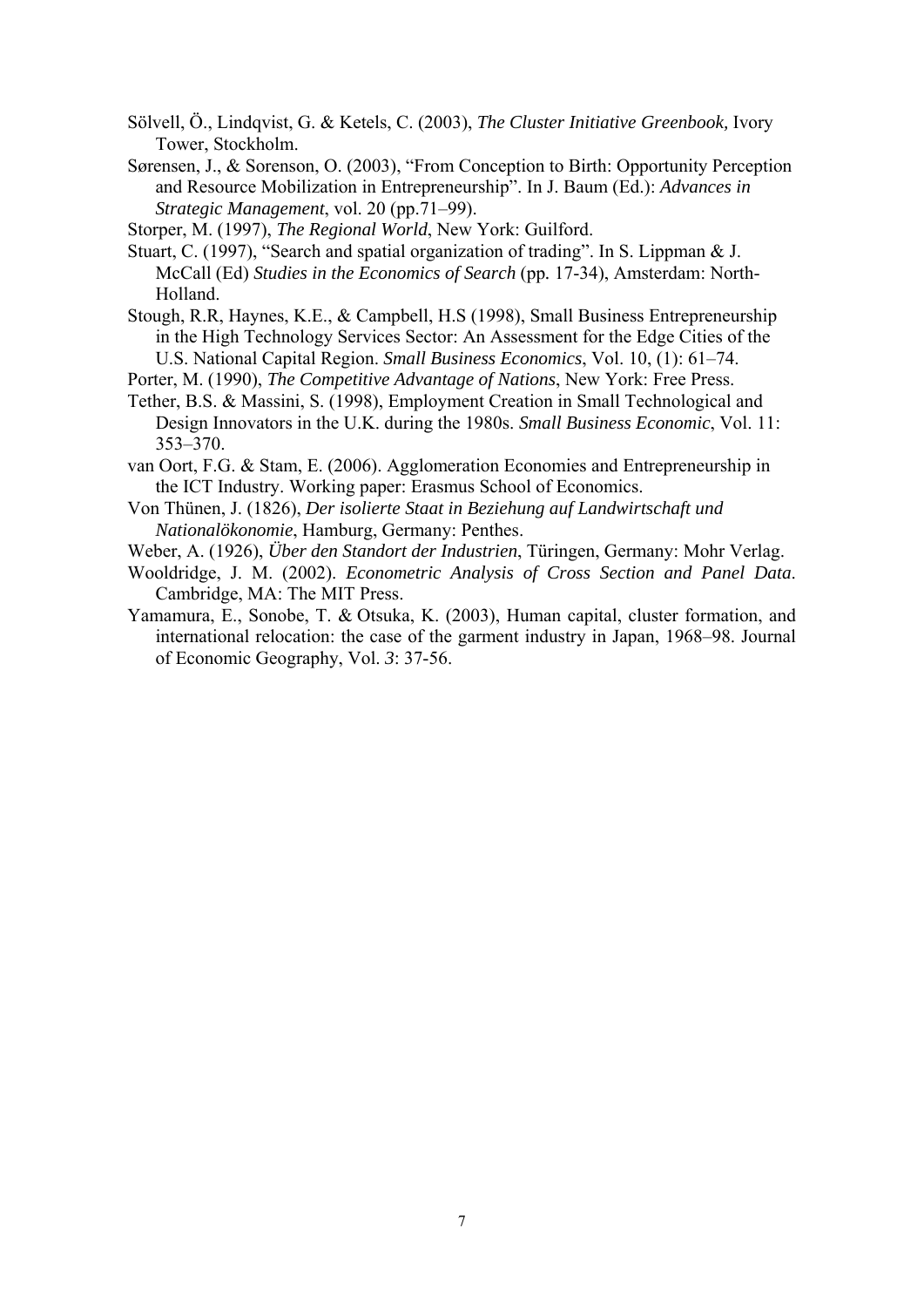- Sölvell, Ö., Lindqvist, G. & Ketels, C. (2003), *The Cluster Initiative Greenbook,* Ivory Tower, Stockholm.
- Sørensen, J., & Sorenson, O. (2003), "From Conception to Birth: Opportunity Perception and Resource Mobilization in Entrepreneurship". In J. Baum (Ed.): *Advances in Strategic Management*, vol. 20 (pp.71–99).
- Storper, M. (1997), *The Regional World*, New York: Guilford.
- Stuart, C. (1997), "Search and spatial organization of trading". In S. Lippman & J. McCall (Ed) *Studies in the Economics of Search* (pp*.* 17-34), Amsterdam: North-Holland.
- Stough, R.R, Haynes, K.E., & Campbell, H.S (1998), Small Business Entrepreneurship in the High Technology Services Sector: An Assessment for the Edge Cities of the U.S. National Capital Region. *Small Business Economics*, Vol. 10, (1): 61–74.
- Porter, M. (1990), *The Competitive Advantage of Nations*, New York: Free Press.
- Tether, B.S. & Massini, S. (1998), Employment Creation in Small Technological and Design Innovators in the U.K. during the 1980s. *Small Business Economic*, Vol. 11: 353–370.
- van Oort, F.G. & Stam, E. (2006). Agglomeration Economies and Entrepreneurship in the ICT Industry. Working paper: Erasmus School of Economics.
- Von Thünen, J. (1826), *Der isolierte Staat in Beziehung auf Landwirtschaft und Nationalökonomie*, Hamburg, Germany: Penthes.
- Weber, A. (1926), *Über den Standort der Industrien*, Türingen, Germany: Mohr Verlag.
- Wooldridge, J. M. (2002). *Econometric Analysis of Cross Section and Panel Data*. Cambridge, MA: The MIT Press.
- Yamamura, E., Sonobe, T. & Otsuka, K. (2003), Human capital, cluster formation, and international relocation: the case of the garment industry in Japan, 1968–98. Journal of Economic Geography, Vol. *3*: 37-56.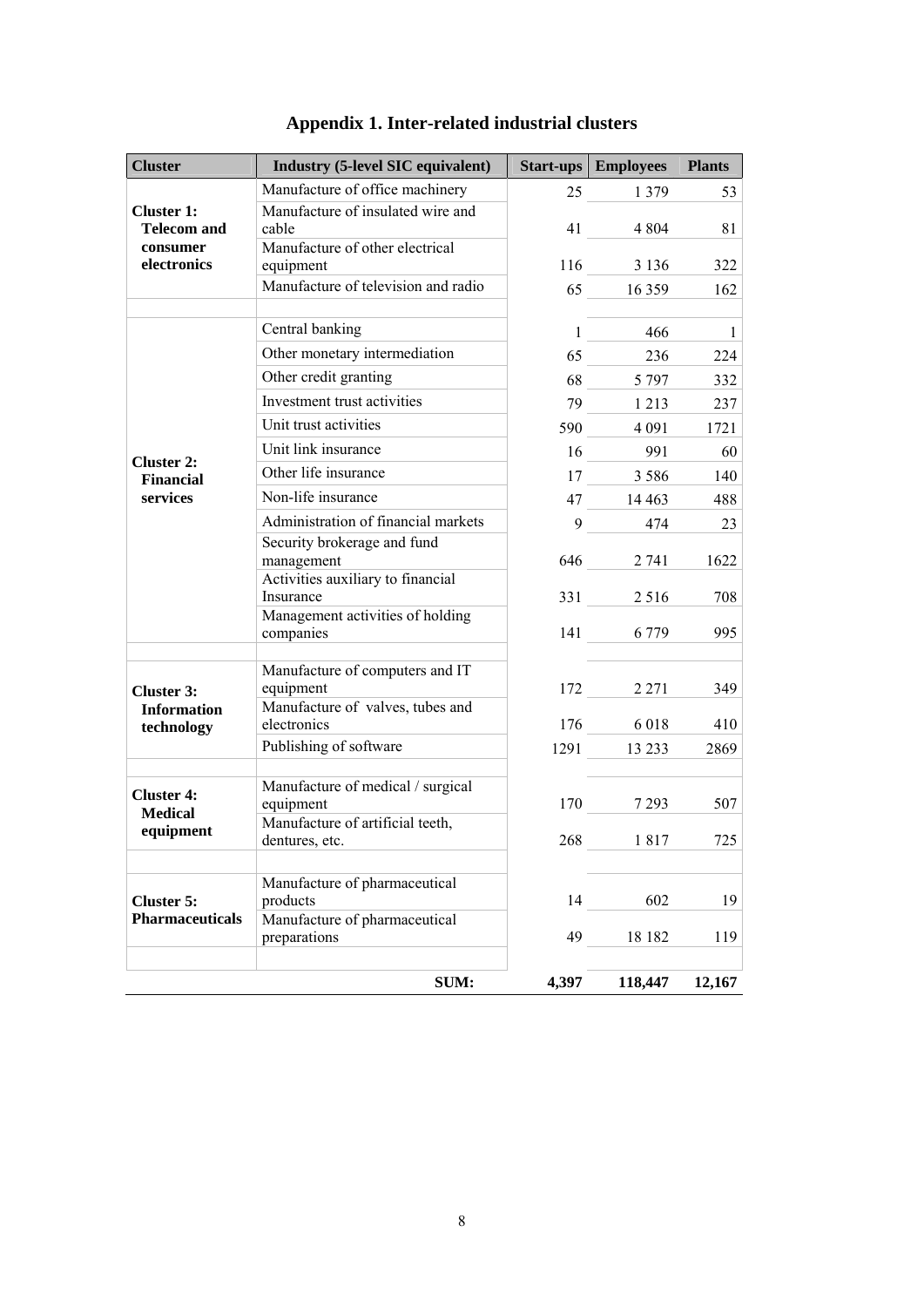| <b>Cluster</b>                        | <b>Industry (5-level SIC equivalent)</b>       |       | <b>Start-ups</b>   <b>Employees</b> | <b>Plants</b>  |
|---------------------------------------|------------------------------------------------|-------|-------------------------------------|----------------|
|                                       | Manufacture of office machinery                |       | 25 1 3 7 9                          | 53             |
| <b>Cluster 1:</b>                     | Manufacture of insulated wire and              |       |                                     |                |
| <b>Telecom and</b><br>consumer        | cable<br>Manufacture of other electrical       |       | 41 4804                             | 81             |
| electronics                           | equipment                                      |       | 116 3 136                           | 322            |
|                                       | Manufacture of television and radio            |       | 65 16 359                           | 162            |
|                                       |                                                |       |                                     |                |
|                                       | Central banking                                |       | $1 \t 466$                          | $\blacksquare$ |
|                                       | Other monetary intermediation                  |       | 65 236                              | 224            |
|                                       | Other credit granting                          |       | 68 5 797                            | 332            |
|                                       | Investment trust activities                    |       | 79 1 2 1 3                          | 237            |
|                                       | Unit trust activities                          |       | 590 4 091                           | 1721           |
|                                       | Unit link insurance                            |       | 16 991                              | 60             |
| <b>Cluster 2:</b><br><b>Financial</b> | Other life insurance                           |       | 17 3 5 8 6                          | 140            |
| services                              | Non-life insurance                             |       | 47 14 463                           | 488            |
|                                       | Administration of financial markets            | $9-$  | 474                                 | 23             |
|                                       | Security brokerage and fund                    |       |                                     |                |
|                                       | management                                     |       | 646 2 741                           | 1622           |
|                                       | Activities auxiliary to financial<br>Insurance |       | 331 2516                            | 708            |
|                                       | Management activities of holding               |       |                                     |                |
|                                       | companies                                      |       | 141 6 779                           | 995            |
|                                       | Manufacture of computers and IT                |       |                                     |                |
| <b>Cluster 3:</b>                     | equipment                                      |       | 172 2 2 2 2 1                       | 349            |
| <b>Information</b>                    | Manufacture of valves, tubes and               |       |                                     |                |
| technology                            | electronics                                    |       | 176 6 018                           | 410            |
|                                       | Publishing of software                         |       | 1291 13 233                         | 2869           |
|                                       | Manufacture of medical / surgical              |       |                                     |                |
| <b>Cluster 4:</b><br><b>Medical</b>   | equipment                                      |       | 170 7 293                           | 507            |
| equipment                             | Manufacture of artificial teeth,               |       |                                     |                |
|                                       | dentures, etc.                                 | 268   | 1817                                | 725            |
|                                       | Manufacture of pharmaceutical                  |       |                                     |                |
| <b>Cluster 5:</b>                     | products                                       | 14    | 602                                 | 19             |
| <b>Pharmaceuticals</b>                | Manufacture of pharmaceutical                  |       |                                     |                |
|                                       | preparations                                   | 49    | 18 18 2                             | 119            |
|                                       |                                                |       |                                     |                |
|                                       | <b>SUM:</b>                                    | 4,397 | 118,447                             | 12,167         |

# **Appendix 1. Inter-related industrial clusters**